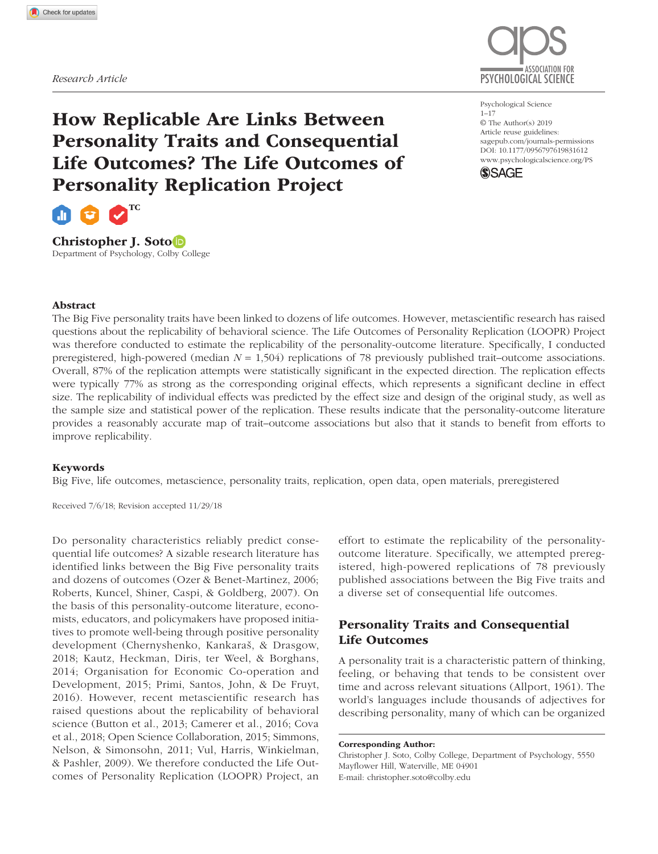

How Replicable Are Links Between Personality Traits and Consequential Life Outcomes? The Life Outcomes of Personality Replication Project



Christopher J. Soto Department of Psychology, Colby College

DOI: 10.1177/0956797619831612 Psychological Science 1–17 © The Author(s) 2019 Article reuse guidelines: sagepub.com/journals-permissions [www.psychologicalscience.org/PS](http://www.psychologicalscience.org/ps)



### Abstract

The Big Five personality traits have been linked to dozens of life outcomes. However, metascientific research has raised questions about the replicability of behavioral science. The Life Outcomes of Personality Replication (LOOPR) Project was therefore conducted to estimate the replicability of the personality-outcome literature. Specifically, I conducted preregistered, high-powered (median *N* = 1,504) replications of 78 previously published trait–outcome associations. Overall, 87% of the replication attempts were statistically significant in the expected direction. The replication effects were typically 77% as strong as the corresponding original effects, which represents a significant decline in effect size. The replicability of individual effects was predicted by the effect size and design of the original study, as well as the sample size and statistical power of the replication. These results indicate that the personality-outcome literature provides a reasonably accurate map of trait–outcome associations but also that it stands to benefit from efforts to improve replicability.

### Keywords

Big Five, life outcomes, metascience, personality traits, replication, open data, open materials, preregistered

Received 7/6/18; Revision accepted 11/29/18

Do personality characteristics reliably predict consequential life outcomes? A sizable research literature has identified links between the Big Five personality traits and dozens of outcomes (Ozer & Benet-Martinez, 2006; Roberts, Kuncel, Shiner, Caspi, & Goldberg, 2007). On the basis of this personality-outcome literature, economists, educators, and policymakers have proposed initiatives to promote well-being through positive personality development (Chernyshenko, Kankaraš, & Drasgow, 2018; Kautz, Heckman, Diris, ter Weel, & Borghans, 2014; Organisation for Economic Co-operation and Development, 2015; Primi, Santos, John, & De Fruyt, 2016). However, recent metascientific research has raised questions about the replicability of behavioral science (Button et al., 2013; Camerer et al., 2016; Cova et al., 2018; Open Science Collaboration, 2015; Simmons, Nelson, & Simonsohn, 2011; Vul, Harris, Winkielman, & Pashler, 2009). We therefore conducted the Life Outcomes of Personality Replication (LOOPR) Project, an

effort to estimate the replicability of the personalityoutcome literature. Specifically, we attempted preregistered, high-powered replications of 78 previously published associations between the Big Five traits and a diverse set of consequential life outcomes.

# Personality Traits and Consequential Life Outcomes

A personality trait is a characteristic pattern of thinking, feeling, or behaving that tends to be consistent over time and across relevant situations (Allport, 1961). The world's languages include thousands of adjectives for describing personality, many of which can be organized

Christopher J. Soto, Colby College, Department of Psychology, 5550 Mayflower Hill, Waterville, ME 04901 E-mail: [christopher.soto@colby.edu](mailto:christopher.soto@colby.edu)

Corresponding Author: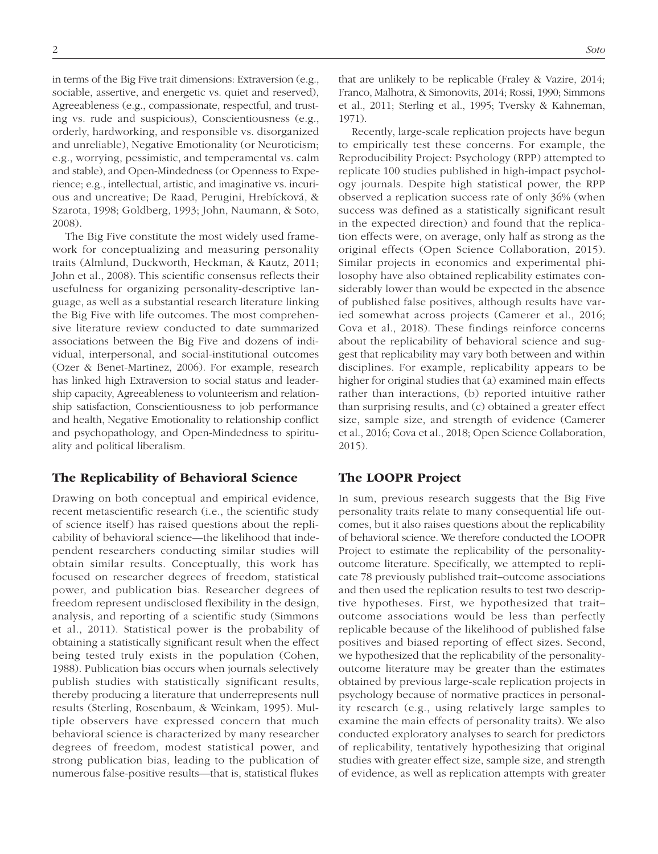in terms of the Big Five trait dimensions: Extraversion (e.g., sociable, assertive, and energetic vs. quiet and reserved), Agreeableness (e.g., compassionate, respectful, and trusting vs. rude and suspicious), Conscientiousness (e.g., orderly, hardworking, and responsible vs. disorganized and unreliable), Negative Emotionality (or Neuroticism; e.g., worrying, pessimistic, and temperamental vs. calm and stable), and Open-Mindedness (or Openness to Experience; e.g., intellectual, artistic, and imaginative vs. incurious and uncreative; De Raad, Perugini, Hrebícková, & Szarota, 1998; Goldberg, 1993; John, Naumann, & Soto, 2008).

The Big Five constitute the most widely used framework for conceptualizing and measuring personality traits (Almlund, Duckworth, Heckman, & Kautz, 2011; John et al., 2008). This scientific consensus reflects their usefulness for organizing personality-descriptive language, as well as a substantial research literature linking the Big Five with life outcomes. The most comprehensive literature review conducted to date summarized associations between the Big Five and dozens of individual, interpersonal, and social-institutional outcomes (Ozer & Benet-Martinez, 2006). For example, research has linked high Extraversion to social status and leadership capacity, Agreeableness to volunteerism and relationship satisfaction, Conscientiousness to job performance and health, Negative Emotionality to relationship conflict and psychopathology, and Open-Mindedness to spirituality and political liberalism.

### The Replicability of Behavioral Science

Drawing on both conceptual and empirical evidence, recent metascientific research (i.e., the scientific study of science itself) has raised questions about the replicability of behavioral science—the likelihood that independent researchers conducting similar studies will obtain similar results. Conceptually, this work has focused on researcher degrees of freedom, statistical power, and publication bias. Researcher degrees of freedom represent undisclosed flexibility in the design, analysis, and reporting of a scientific study (Simmons et al., 2011). Statistical power is the probability of obtaining a statistically significant result when the effect being tested truly exists in the population (Cohen, 1988). Publication bias occurs when journals selectively publish studies with statistically significant results, thereby producing a literature that underrepresents null results (Sterling, Rosenbaum, & Weinkam, 1995). Multiple observers have expressed concern that much behavioral science is characterized by many researcher degrees of freedom, modest statistical power, and strong publication bias, leading to the publication of numerous false-positive results—that is, statistical flukes that are unlikely to be replicable (Fraley & Vazire, 2014; Franco, Malhotra, & Simonovits, 2014; Rossi, 1990; Simmons et al., 2011; Sterling et al., 1995; Tversky & Kahneman, 1971).

Recently, large-scale replication projects have begun to empirically test these concerns. For example, the Reproducibility Project: Psychology (RPP) attempted to replicate 100 studies published in high-impact psychology journals. Despite high statistical power, the RPP observed a replication success rate of only 36% (when success was defined as a statistically significant result in the expected direction) and found that the replication effects were, on average, only half as strong as the original effects (Open Science Collaboration, 2015). Similar projects in economics and experimental philosophy have also obtained replicability estimates considerably lower than would be expected in the absence of published false positives, although results have varied somewhat across projects (Camerer et al., 2016; Cova et al., 2018). These findings reinforce concerns about the replicability of behavioral science and suggest that replicability may vary both between and within disciplines. For example, replicability appears to be higher for original studies that (a) examined main effects rather than interactions, (b) reported intuitive rather than surprising results, and (c) obtained a greater effect size, sample size, and strength of evidence (Camerer et al., 2016; Cova et al., 2018; Open Science Collaboration, 2015).

### The LOOPR Project

In sum, previous research suggests that the Big Five personality traits relate to many consequential life outcomes, but it also raises questions about the replicability of behavioral science. We therefore conducted the LOOPR Project to estimate the replicability of the personalityoutcome literature. Specifically, we attempted to replicate 78 previously published trait–outcome associations and then used the replication results to test two descriptive hypotheses. First, we hypothesized that trait– outcome associations would be less than perfectly replicable because of the likelihood of published false positives and biased reporting of effect sizes. Second, we hypothesized that the replicability of the personalityoutcome literature may be greater than the estimates obtained by previous large-scale replication projects in psychology because of normative practices in personality research (e.g., using relatively large samples to examine the main effects of personality traits). We also conducted exploratory analyses to search for predictors of replicability, tentatively hypothesizing that original studies with greater effect size, sample size, and strength of evidence, as well as replication attempts with greater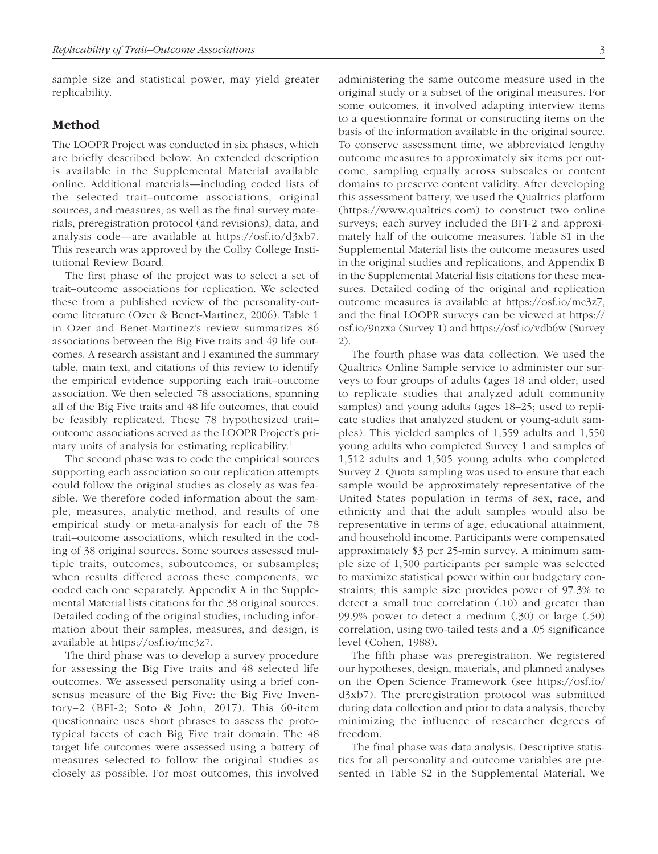sample size and statistical power, may yield greater replicability.

### Method

The LOOPR Project was conducted in six phases, which are briefly described below. An extended description is available in the Supplemental Material available online. Additional materials—including coded lists of the selected trait–outcome associations, original sources, and measures, as well as the final survey materials, preregistration protocol (and revisions), data, and analysis code—are available at <https://osf.io/d3xb7>. This research was approved by the Colby College Institutional Review Board.

The first phase of the project was to select a set of trait–outcome associations for replication. We selected these from a published review of the personality-outcome literature (Ozer & Benet-Martinez, 2006). Table 1 in Ozer and Benet-Martinez's review summarizes 86 associations between the Big Five traits and 49 life outcomes. A research assistant and I examined the summary table, main text, and citations of this review to identify the empirical evidence supporting each trait–outcome association. We then selected 78 associations, spanning all of the Big Five traits and 48 life outcomes, that could be feasibly replicated. These 78 hypothesized trait– outcome associations served as the LOOPR Project's primary units of analysis for estimating replicability.<sup>1</sup>

The second phase was to code the empirical sources supporting each association so our replication attempts could follow the original studies as closely as was feasible. We therefore coded information about the sample, measures, analytic method, and results of one empirical study or meta-analysis for each of the 78 trait–outcome associations, which resulted in the coding of 38 original sources. Some sources assessed multiple traits, outcomes, suboutcomes, or subsamples; when results differed across these components, we coded each one separately. Appendix A in the Supplemental Material lists citations for the 38 original sources. Detailed coding of the original studies, including information about their samples, measures, and design, is available at [https://osf.io/mc3z7.](https://osf.io/mc3z7)

The third phase was to develop a survey procedure for assessing the Big Five traits and 48 selected life outcomes. We assessed personality using a brief consensus measure of the Big Five: the Big Five Inventory–2 (BFI-2; Soto & John, 2017). This 60-item questionnaire uses short phrases to assess the prototypical facets of each Big Five trait domain. The 48 target life outcomes were assessed using a battery of measures selected to follow the original studies as closely as possible. For most outcomes, this involved administering the same outcome measure used in the original study or a subset of the original measures. For some outcomes, it involved adapting interview items to a questionnaire format or constructing items on the basis of the information available in the original source. To conserve assessment time, we abbreviated lengthy outcome measures to approximately six items per outcome, sampling equally across subscales or content domains to preserve content validity. After developing this assessment battery, we used the Qualtrics platform (https://www.qualtrics.com) to construct two online surveys; each survey included the BFI-2 and approximately half of the outcome measures. Table S1 in the Supplemental Material lists the outcome measures used in the original studies and replications, and Appendix B in the Supplemental Material lists citations for these measures. Detailed coding of the original and replication outcome measures is available at [https://osf.io/mc3z7,](https://osf.io/mc3z7) and the final LOOPR surveys can be viewed at [https://](https://osf.io/9nzxa) [osf.io/9nzxa](https://osf.io/9nzxa) (Survey 1) and<https://osf.io/vdb6w>(Survey 2).

The fourth phase was data collection. We used the Qualtrics Online Sample service to administer our surveys to four groups of adults (ages 18 and older; used to replicate studies that analyzed adult community samples) and young adults (ages 18–25; used to replicate studies that analyzed student or young-adult samples). This yielded samples of 1,559 adults and 1,550 young adults who completed Survey 1 and samples of 1,512 adults and 1,505 young adults who completed Survey 2. Quota sampling was used to ensure that each sample would be approximately representative of the United States population in terms of sex, race, and ethnicity and that the adult samples would also be representative in terms of age, educational attainment, and household income. Participants were compensated approximately \$3 per 25-min survey. A minimum sample size of 1,500 participants per sample was selected to maximize statistical power within our budgetary constraints; this sample size provides power of 97.3% to detect a small true correlation (.10) and greater than 99.9% power to detect a medium (.30) or large (.50) correlation, using two-tailed tests and a .05 significance level (Cohen, 1988).

The fifth phase was preregistration. We registered our hypotheses, design, materials, and planned analyses on the Open Science Framework (see [https://osf.io/](https://osf.io/d3xb7) [d3xb7\)](https://osf.io/d3xb7). The preregistration protocol was submitted during data collection and prior to data analysis, thereby minimizing the influence of researcher degrees of freedom.

The final phase was data analysis. Descriptive statistics for all personality and outcome variables are presented in Table S2 in the Supplemental Material. We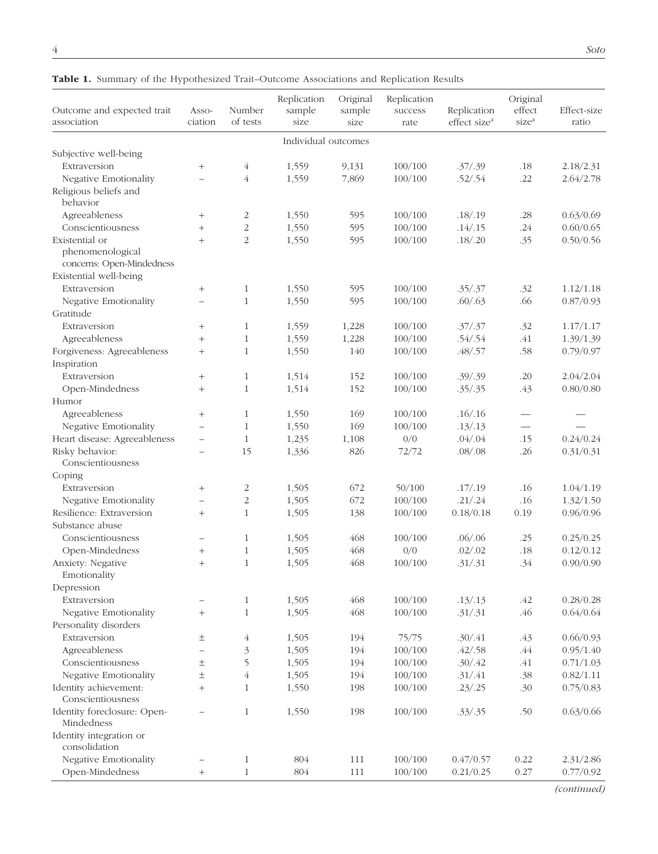| Outcome and expected trait<br>association                               | Asso-<br>ciation         | Number<br>of tests | Replication<br>sample<br>size | Original<br>sample<br>size | Replication<br>success<br>rate | Replication<br>effect size <sup>a</sup> | Original<br>effect<br>size <sup>a</sup> | Effect-size<br>ratio |
|-------------------------------------------------------------------------|--------------------------|--------------------|-------------------------------|----------------------------|--------------------------------|-----------------------------------------|-----------------------------------------|----------------------|
|                                                                         |                          |                    | Individual outcomes           |                            |                                |                                         |                                         |                      |
| Subjective well-being                                                   |                          |                    |                               |                            |                                |                                         |                                         |                      |
| Extraversion                                                            | $\! + \!\!\!\!$          | $\overline{4}$     | 1,559                         | 9,131                      | 100/100                        | .37/.39                                 | $.18\,$                                 | 2.18/2.31            |
| Negative Emotionality                                                   |                          | $\overline{4}$     | 1,559                         | 7,869                      | 100/100                        | .52/.54                                 | .22                                     | 2.64/2.78            |
| Religious beliefs and<br>behavior                                       |                          |                    |                               |                            |                                |                                         |                                         |                      |
| Agreeableness                                                           | $^{+}$                   | 2                  | 1,550                         | 595                        | 100/100                        | .18/.19                                 | .28                                     | 0.63/0.69            |
| Conscientiousness                                                       | $\! + \!\!\!\!$          | 2                  | 1,550                         | 595                        | 100/100                        | .14/.15                                 | .24                                     | 0.60/0.65            |
| Existential or                                                          | $+$                      | $\overline{2}$     | 1,550                         | 595                        | 100/100                        | .18/.20                                 | .35                                     | 0.50/0.56            |
| phenomenological<br>concerns: Open-Mindedness<br>Existential well-being |                          |                    |                               |                            |                                |                                         |                                         |                      |
| Extraversion                                                            | $\! + \!\!\!\!$          | $\mathbf{1}$       | 1,550                         | 595                        | 100/100                        | .35/.37                                 | .32                                     | 1.12/1.18            |
| Negative Emotionality<br>Gratitude                                      | $\overline{\phantom{0}}$ | $\mathbf{1}$       | 1,550                         | 595                        | 100/100                        | .60/.63                                 | .66                                     | 0.87/0.93            |
| Extraversion                                                            | $\! + \!\!\!\!$          | $\mathbf{1}$       | 1,559                         | 1,228                      | 100/100                        | .37/.37                                 | .32                                     | 1.17/1.17            |
| Agreeableness                                                           | $\! + \!\!\!\!$          | $\mathbf{1}$       | 1,559                         | 1,228                      | 100/100                        | .54 / .54                               | .41                                     | 1.39/1.39            |
| Forgiveness: Agreeableness<br>Inspiration                               | $+$                      | $\mathbf{1}$       | 1,550                         | 140                        | 100/100                        | .48/.57                                 | .58                                     | 0.79/0.97            |
| Extraversion                                                            | $\! + \!\!\!\!$          | $\mathbf{1}$       | 1,514                         | 152                        | 100/100                        | .39/.39                                 | .20                                     | 2.04/2.04            |
| Open-Mindedness<br>Humor                                                | $^{+}$                   | $\mathbf{1}$       | 1,514                         | 152                        | 100/100                        | .35/.35                                 | .43                                     | 0.80/0.80            |
| Agreeableness                                                           | $\! + \!\!\!\!$          | $\mathbf{1}$       | 1,550                         | 169                        | 100/100                        | .16/.16                                 |                                         |                      |
| Negative Emotionality                                                   | $\overline{\phantom{0}}$ | $\mathbf{1}$       | 1,550                         | 169                        | 100/100                        | .13/.13                                 | $\overline{\phantom{0}}$                |                      |
| Heart disease: Agreeableness                                            | $\overline{\phantom{0}}$ | $\mathbf{1}$       | 1,235                         | 1,108                      | 0/0                            | .04/.04                                 | .15                                     | 0.24/0.24            |
| Risky behavior:<br>Conscientiousness                                    | $\overline{\phantom{0}}$ | 15                 | 1,336                         | 826                        | 72/72                          | .08/.08                                 | .26                                     | 0.31/0.31            |
| Coping                                                                  |                          |                    |                               |                            |                                |                                         |                                         |                      |
| Extraversion                                                            | $^{+}$                   | 2                  | 1,505                         | 672                        | 50/100                         | .17/.19                                 | .16                                     | 1.04/1.19            |
| Negative Emotionality                                                   | $\overline{\phantom{0}}$ | $\sqrt{2}$         | 1,505                         | 672                        | 100/100                        | .21/.24                                 | .16                                     | 1.32/1.50            |
| Resilience: Extraversion<br>Substance abuse                             | $^{+}$                   | $\mathbf{1}$       | 1,505                         | 138                        | 100/100                        | 0.18/0.18                               | 0.19                                    | 0.96/0.96            |
| Conscientiousness                                                       | $\overline{\phantom{0}}$ | $\mathbf{1}$       | 1,505                         | 468                        | 100/100                        | .06/.06                                 | .25                                     | 0.25/0.25            |
| Open-Mindedness                                                         | $^{+}$                   | $\mathbf{1}$       | 1,505                         | 468                        | 0/0                            | .02/.02                                 | .18                                     | 0.12/0.12            |
| Anxiety: Negative<br>Emotionality                                       | $^{+}$                   | $\mathbf{1}$       | 1,505                         | 468                        | 100/100                        | .31/.31                                 | .34                                     | 0.90/0.90            |
| Depression                                                              |                          |                    |                               |                            |                                |                                         |                                         |                      |
| Extraversion                                                            |                          | $\mathbf{1}$       | 1,505                         | 468                        | 100/100                        | .13/.13                                 | .42                                     | 0.28/0.28            |
| Negative Emotionality<br>Personality disorders                          | $^{+}$                   | $\mathbf{1}$       | 1,505                         | 468                        | 100/100                        | .31/.31                                 | .46                                     | 0.64/0.64            |
| Extraversion                                                            | 土                        | $\overline{4}$     | 1,505                         | 194                        | 75/75                          | .30/.41                                 | .43                                     | 0.66/0.93            |
| Agreeableness                                                           |                          | 3                  | 1,505                         | 194                        | 100/100                        | .42/.58                                 | .44                                     | 0.95/1.40            |
| Conscientiousness                                                       | $\pm$                    | 5                  | 1,505                         | 194                        | 100/100                        | .30/.42                                 | .41                                     | 0.71/1.03            |
| Negative Emotionality                                                   | $\pm$                    | $\overline{4}$     | 1,505                         | 194                        | 100/100                        | .31/.41                                 | .38                                     | 0.82/1.11            |
| Identity achievement:<br>Conscientiousness                              | $^{+}$                   | $\mathbf{1}$       | 1,550                         | 198                        | $100/100\,$                    | .23/.25                                 | .30                                     | 0.75/0.83            |
| Identity foreclosure: Open-<br>Mindedness                               |                          | $\mathbf{1}$       | 1,550                         | 198                        | 100/100                        | .33/.35                                 | .50                                     | 0.63/0.66            |
| Identity integration or<br>consolidation                                |                          |                    |                               |                            |                                |                                         |                                         |                      |
| Negative Emotionality                                                   | $\qquad \qquad -$        | $\mathbf{1}$       | 804                           | 111                        | 100/100                        | 0.47/0.57                               | 0.22                                    | 2.31/2.86            |
| Open-Mindedness                                                         | $\boldsymbol{+}$         | $\mathbf{1}$       | 804                           | $111\,$                    | 100/100                        | 0.21/0.25                               | 0.27                                    | 0.77/0.92            |

Table 1. Summary of the Hypothesized Trait-Outcome Associations and Replication Results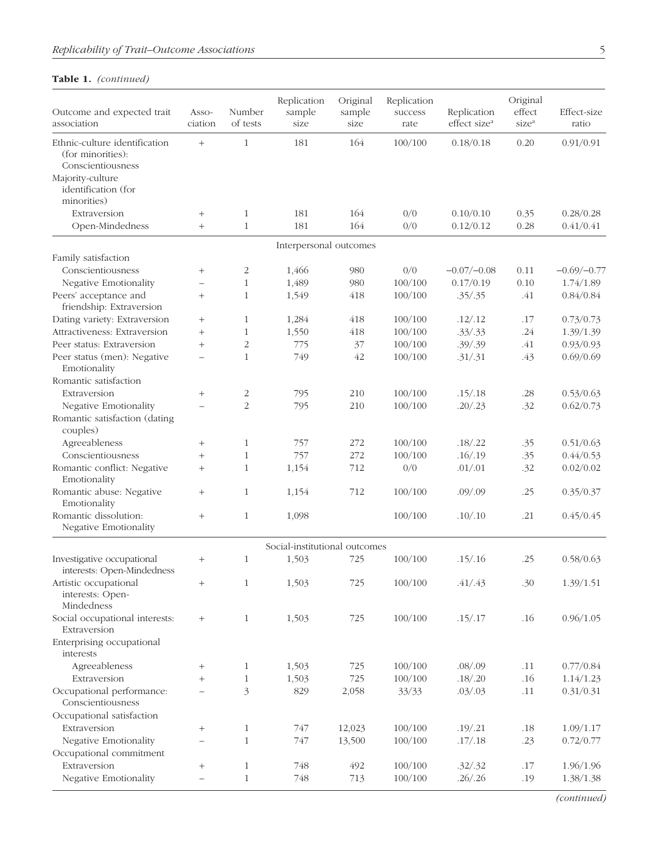## Table 1. *(continued)*

| Outcome and expected trait<br>association                                                                          | Asso-<br>ciation  | Number<br>of tests | Replication<br>sample<br>size | Original<br>sample<br>size | Replication<br>success<br>rate | Replication<br>effect size <sup>a</sup> | Original<br>effect<br>size <sup>a</sup> | Effect-size<br>ratio |
|--------------------------------------------------------------------------------------------------------------------|-------------------|--------------------|-------------------------------|----------------------------|--------------------------------|-----------------------------------------|-----------------------------------------|----------------------|
| Ethnic-culture identification<br>(for minorities):<br>Conscientiousness<br>Majority-culture<br>identification (for | $^{+}$            | $\mathbf{1}$       | 181                           | 164                        | 100/100                        | 0.18/0.18                               | 0.20                                    | 0.91/0.91            |
| minorities)                                                                                                        |                   |                    |                               |                            |                                |                                         |                                         |                      |
| Extraversion                                                                                                       | $\! + \!\!\!\!$   | $\mathbf{1}$       | 181                           | 164                        | 0/0                            | 0.10/0.10                               | 0.35                                    | 0.28/0.28            |
| Open-Mindedness                                                                                                    | $^{+}$            | $\mathbf{1}$       | 181                           | 164                        | 0/0                            | 0.12/0.12                               | 0.28                                    | 0.41/0.41            |
|                                                                                                                    |                   |                    | Interpersonal outcomes        |                            |                                |                                         |                                         |                      |
| Family satisfaction                                                                                                |                   |                    |                               |                            |                                |                                         |                                         |                      |
| Conscientiousness                                                                                                  | $\! + \!\!\!\!$   | $\overline{c}$     | 1,466                         | 980                        | 0/0                            | $-0.07/-0.08$                           | 0.11                                    | $-0.69/-0.77$        |
| Negative Emotionality                                                                                              |                   | $\mathbf{1}$       | 1,489                         | 980                        | 100/100                        | 0.17/0.19                               | 0.10                                    | 1.74/1.89            |
| Peers' acceptance and<br>friendship: Extraversion                                                                  | $^{+}$            | $\mathbf{1}$       | 1,549                         | 418                        | 100/100                        | .35/.35                                 | .41                                     | 0.84/0.84            |
| Dating variety: Extraversion                                                                                       | $\! + \!\!\!\!$   | $\mathbf{1}$       | 1,284                         | 418                        | 100/100                        | .12/.12                                 | .17                                     | 0.73/0.73            |
| Attractiveness: Extraversion                                                                                       | $^{+}$            | $\mathbf{1}$       | 1,550                         | 418                        | 100/100                        | .33/.33                                 | .24                                     | 1.39/1.39            |
| Peer status: Extraversion                                                                                          | $^{+}$            | $\overline{2}$     | 775                           | 37                         | 100/100                        | .39/.39                                 | .41                                     | 0.93/0.93            |
| Peer status (men): Negative<br>Emotionality<br>Romantic satisfaction                                               |                   | $\mathbf{1}$       | 749                           | 42                         | 100/100                        | .31/.31                                 | .43                                     | 0.69/0.69            |
| Extraversion                                                                                                       | $\! + \!\!\!\!$   | $\overline{c}$     | 795                           | 210                        | 100/100                        | .15/.18                                 | .28                                     | 0.53/0.63            |
| Negative Emotionality                                                                                              |                   | $\overline{2}$     | 795                           | 210                        | 100/100                        | .20/.23                                 | .32                                     | 0.62/0.73            |
| Romantic satisfaction (dating<br>couples)                                                                          |                   |                    |                               |                            |                                |                                         |                                         |                      |
| Agreeableness                                                                                                      | $^{+}$            | $\mathbf{1}$       | 757                           | 272                        | 100/100                        | .18/.22                                 | .35                                     | 0.51/0.63            |
| Conscientiousness                                                                                                  | $^{+}$            | $\mathbf{1}$       | 757                           | 272                        | 100/100                        | .16/.19                                 | .35                                     | 0.44/0.53            |
| Romantic conflict: Negative<br>Emotionality                                                                        | $^{+}$            | $\mathbf{1}$       | 1,154                         | 712                        | 0/0                            | .01/.01                                 | .32                                     | 0.02/0.02            |
| Romantic abuse: Negative<br>Emotionality                                                                           | $^{+}$            | $\mathbf{1}$       | 1,154                         | 712                        | 100/100                        | .09/.09                                 | .25                                     | 0.35/0.37            |
| Romantic dissolution:<br>Negative Emotionality                                                                     | $^{+}$            | $\mathbf{1}$       | 1,098                         |                            | 100/100                        | .10/.10                                 | .21                                     | 0.45/0.45            |
|                                                                                                                    |                   |                    | Social-institutional outcomes |                            |                                |                                         |                                         |                      |
| Investigative occupational<br>interests: Open-Mindedness                                                           | $^{+}$            | $\mathbf{1}$       | 1,503                         | 725                        | 100/100                        | .15/.16                                 | .25                                     | 0.58/0.63            |
| Artistic occupational<br>interests: Open-<br>Mindedness                                                            | $^+$              | 1                  | 1,503                         | 725                        | 100/100                        | .41/.43                                 | .30                                     | 1.39/1.51            |
| Social occupational interests:<br>Extraversion                                                                     | $^{+}$            | $\mathbf{1}$       | 1,503                         | 725                        | 100/100                        | .15/.17                                 | .16                                     | 0.96/1.05            |
| Enterprising occupational<br>interests                                                                             |                   |                    |                               |                            |                                |                                         |                                         |                      |
| Agreeableness                                                                                                      | $^{+}$            | $\mathbf{1}$       | 1,503                         | 725                        | 100/100                        | .08/.09                                 | .11                                     | 0.77/0.84            |
| Extraversion                                                                                                       | $\ddot{}$         | $\mathbf{1}$       | 1,503                         | 725                        | 100/100                        | .18/.20                                 | .16                                     | 1.14/1.23            |
| Occupational performance:<br>Conscientiousness                                                                     |                   | $\mathfrak{Z}$     | 829                           | 2,058                      | 33/33                          | .03/.03                                 | .11                                     | 0.31/0.31            |
| Occupational satisfaction                                                                                          |                   |                    |                               |                            |                                |                                         |                                         |                      |
| Extraversion                                                                                                       | $^{+}$            | $\mathbf{1}$       | 747                           | 12,023                     | 100/100                        | .19/.21                                 | .18                                     | 1.09/1.17            |
| Negative Emotionality<br>Occupational commitment                                                                   |                   | $\mathbf{1}$       | 747                           | 13,500                     | 100/100                        | .17/.18                                 | .23                                     | 0.72/0.77            |
| Extraversion                                                                                                       | $^{+}$            | $\mathbf{1}$       | 748                           | 492                        | 100/100                        | .32/.32                                 | .17                                     | 1.96/1.96            |
| Negative Emotionality                                                                                              | $\qquad \qquad -$ | $\,1\,$            | 748                           | 713                        | 100/100                        | .26/.26                                 | .19                                     | 1.38/1.38            |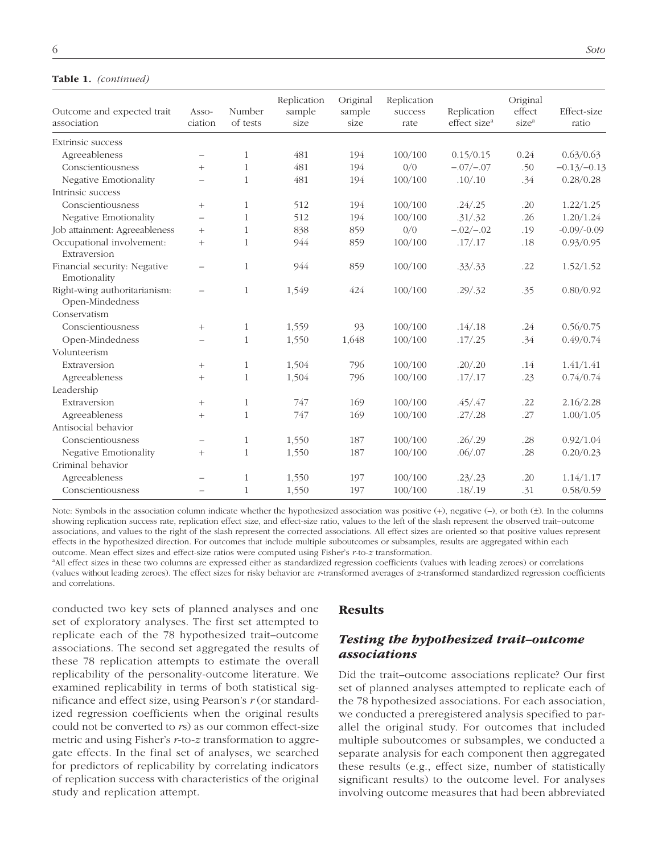Table 1. *(continued)*

| Outcome and expected trait<br>association       | Asso-<br>ciation         | Number<br>of tests | Replication<br>sample<br>size | Original<br>sample<br>size | Replication<br>success<br>rate | Replication<br>effect size <sup>a</sup> | Original<br>effect<br>size <sup>a</sup> | Effect-size<br>ratio |
|-------------------------------------------------|--------------------------|--------------------|-------------------------------|----------------------------|--------------------------------|-----------------------------------------|-----------------------------------------|----------------------|
| <b>Extrinsic</b> success                        |                          |                    |                               |                            |                                |                                         |                                         |                      |
| Agreeableness                                   | $\qquad \qquad -$        | 1                  | 481                           | 194                        | 100/100                        | 0.15/0.15                               | 0.24                                    | 0.63/0.63            |
| Conscientiousness                               | $\qquad \qquad +$        | $\mathbf{1}$       | 481                           | 194                        | 0/0                            | $-.07/-.07$                             | .50                                     | $-0.13/-0.13$        |
| Negative Emotionality                           |                          | $\mathbf{1}$       | 481                           | 194                        | 100/100                        | .10/.10                                 | .34                                     | 0.28/0.28            |
| Intrinsic success                               |                          |                    |                               |                            |                                |                                         |                                         |                      |
| Conscientiousness                               |                          | $\mathbf{1}$       | 512                           | 194                        | 100/100                        | .24/.25                                 | .20                                     | 1.22/1.25            |
| Negative Emotionality                           |                          | 1                  | 512                           | 194                        | 100/100                        | .31/.32                                 | .26                                     | 1.20/1.24            |
| Job attainment: Agreeableness                   | $^{+}$                   | 1                  | 838                           | 859                        | 0/0                            | $-.02/-.02$                             | .19                                     | $-0.09/-0.09$        |
| Occupational involvement:<br>Extraversion       | $^{+}$                   | $\mathbf{1}$       | 944                           | 859                        | 100/100                        | .17/.17                                 | .18                                     | 0.93/0.95            |
| Financial security: Negative<br>Emotionality    | $\overline{\phantom{0}}$ | $\mathbf{1}$       | 944                           | 859                        | 100/100                        | .33/.33                                 | .22                                     | 1.52/1.52            |
| Right-wing authoritarianism:<br>Open-Mindedness | $\overline{\phantom{0}}$ | $\mathbf{1}$       | 1,549                         | 424                        | 100/100                        | .29/.32                                 | .35                                     | 0.80/0.92            |
| Conservatism                                    |                          |                    |                               |                            |                                |                                         |                                         |                      |
| Conscientiousness                               |                          | $\mathbf{1}$       | 1,559                         | 93                         | 100/100                        | .14/.18                                 | .24                                     | 0.56/0.75            |
| Open-Mindedness                                 |                          | $\mathbf{1}$       | 1,550                         | 1,648                      | 100/100                        | .17/.25                                 | .34                                     | 0.49/0.74            |
| Volunteerism                                    |                          |                    |                               |                            |                                |                                         |                                         |                      |
| Extraversion                                    | $^{+}$                   | $\mathbf{1}$       | 1,504                         | 796                        | 100/100                        | .20/.20                                 | .14                                     | 1.41/1.41            |
| Agreeableness                                   | $^{+}$                   | $\mathbf{1}$       | 1,504                         | 796                        | 100/100                        | .17/.17                                 | .23                                     | 0.74/0.74            |
| Leadership                                      |                          |                    |                               |                            |                                |                                         |                                         |                      |
| Extraversion                                    | $^{+}$                   | $\mathbf{1}$       | 747                           | 169                        | 100/100                        | .45/.47                                 | .22                                     | 2.16/2.28            |
| Agreeableness                                   | $^{+}$                   | $\mathbf{1}$       | 747                           | 169                        | 100/100                        | .27/.28                                 | .27                                     | 1.00/1.05            |
| Antisocial behavior                             |                          |                    |                               |                            |                                |                                         |                                         |                      |
| Conscientiousness                               | $\qquad \qquad -$        | $\mathbf{1}$       | 1,550                         | 187                        | 100/100                        | .26/.29                                 | .28                                     | 0.92/1.04            |
| Negative Emotionality                           | $^{+}$                   | $\mathbf{1}$       | 1,550                         | 187                        | 100/100                        | .06/.07                                 | .28                                     | 0.20/0.23            |
| Criminal behavior                               |                          |                    |                               |                            |                                |                                         |                                         |                      |
| Agreeableness                                   | $\overline{\phantom{0}}$ | $\mathbf 1$        | 1,550                         | 197                        | 100/100                        | .23/.23                                 | .20                                     | 1.14/1.17            |
| Conscientiousness                               | $\equiv$                 | $\mathbf{1}$       | 1,550                         | 197                        | 100/100                        | .18/.19                                 | .31                                     | 0.58/0.59            |

Note: Symbols in the association column indicate whether the hypothesized association was positive (+), negative (-), or both ( $\pm$ ). In the columns showing replication success rate, replication effect size, and effect-size ratio, values to the left of the slash represent the observed trait–outcome associations, and values to the right of the slash represent the corrected associations. All effect sizes are oriented so that positive values represent effects in the hypothesized direction. For outcomes that include multiple suboutcomes or subsamples, results are aggregated within each outcome. Mean effect sizes and effect-size ratios were computed using Fisher's *r-*to-*z* transformation.

a All effect sizes in these two columns are expressed either as standardized regression coefficients (values with leading zeroes) or correlations (values without leading zeroes). The effect sizes for risky behavior are *r*-transformed averages of *z*-transformed standardized regression coefficients and correlations.

conducted two key sets of planned analyses and one set of exploratory analyses. The first set attempted to replicate each of the 78 hypothesized trait–outcome associations. The second set aggregated the results of these 78 replication attempts to estimate the overall replicability of the personality-outcome literature. We examined replicability in terms of both statistical significance and effect size, using Pearson's *r* (or standardized regression coefficients when the original results could not be converted to *r*s) as our common effect-size metric and using Fisher's *r*-to*-z* transformation to aggregate effects. In the final set of analyses, we searched for predictors of replicability by correlating indicators of replication success with characteristics of the original study and replication attempt.

## **Results**

## *Testing the hypothesized trait–outcome associations*

Did the trait–outcome associations replicate? Our first set of planned analyses attempted to replicate each of the 78 hypothesized associations. For each association, we conducted a preregistered analysis specified to parallel the original study. For outcomes that included multiple suboutcomes or subsamples, we conducted a separate analysis for each component then aggregated these results (e.g., effect size, number of statistically significant results) to the outcome level. For analyses involving outcome measures that had been abbreviated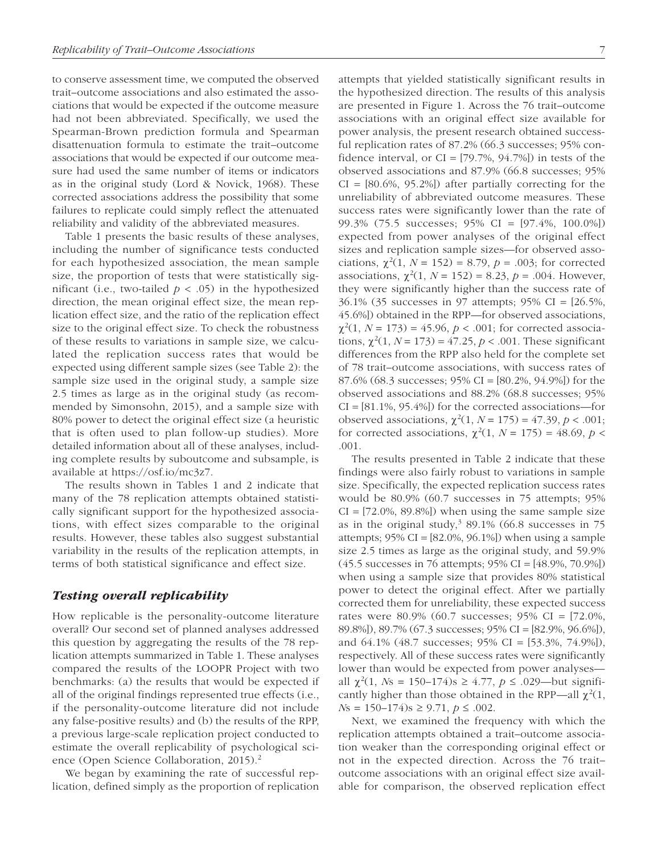to conserve assessment time, we computed the observed trait–outcome associations and also estimated the associations that would be expected if the outcome measure had not been abbreviated. Specifically, we used the Spearman-Brown prediction formula and Spearman disattenuation formula to estimate the trait–outcome associations that would be expected if our outcome measure had used the same number of items or indicators as in the original study (Lord & Novick, 1968). These corrected associations address the possibility that some failures to replicate could simply reflect the attenuated reliability and validity of the abbreviated measures.

Table 1 presents the basic results of these analyses, including the number of significance tests conducted for each hypothesized association, the mean sample size, the proportion of tests that were statistically significant (i.e., two-tailed  $p < .05$ ) in the hypothesized direction, the mean original effect size, the mean replication effect size, and the ratio of the replication effect size to the original effect size. To check the robustness of these results to variations in sample size, we calculated the replication success rates that would be expected using different sample sizes (see Table 2): the sample size used in the original study, a sample size 2.5 times as large as in the original study (as recommended by Simonsohn, 2015), and a sample size with 80% power to detect the original effect size (a heuristic that is often used to plan follow-up studies). More detailed information about all of these analyses, including complete results by suboutcome and subsample, is available at [https://osf.io/mc3z7.](https://osf.io/mc3z7)

The results shown in Tables 1 and 2 indicate that many of the 78 replication attempts obtained statistically significant support for the hypothesized associations, with effect sizes comparable to the original results. However, these tables also suggest substantial variability in the results of the replication attempts, in terms of both statistical significance and effect size.

### *Testing overall replicability*

How replicable is the personality-outcome literature overall? Our second set of planned analyses addressed this question by aggregating the results of the 78 replication attempts summarized in Table 1. These analyses compared the results of the LOOPR Project with two benchmarks: (a) the results that would be expected if all of the original findings represented true effects (i.e., if the personality-outcome literature did not include any false-positive results) and (b) the results of the RPP, a previous large-scale replication project conducted to estimate the overall replicability of psychological science (Open Science Collaboration, 2015).<sup>2</sup>

We began by examining the rate of successful replication, defined simply as the proportion of replication attempts that yielded statistically significant results in the hypothesized direction. The results of this analysis are presented in Figure 1. Across the 76 trait–outcome associations with an original effect size available for power analysis, the present research obtained successful replication rates of 87.2% (66.3 successes; 95% confidence interval, or  $CI = [79.7\%, 94.7\%]$  in tests of the observed associations and 87.9% (66.8 successes; 95%  $CI = [80.6\%, 95.2\%]$  after partially correcting for the unreliability of abbreviated outcome measures. These success rates were significantly lower than the rate of 99.3% (75.5 successes; 95% CI = [97.4%, 100.0%]) expected from power analyses of the original effect sizes and replication sample sizes—for observed associations,  $\chi^2(1, N = 152) = 8.79$ ,  $p = .003$ ; for corrected associations,  $\chi^2(1, N = 152) = 8.23, p = .004$ . However, they were significantly higher than the success rate of 36.1% (35 successes in 97 attempts; 95% CI = [26.5%, 45.6%]) obtained in the RPP—for observed associations,  $\chi^2(1, N = 173) = 45.96, p < .001$ ; for corrected associations,  $\chi^2(1, N = 173) = 47.25, p < .001$ . These significant differences from the RPP also held for the complete set of 78 trait–outcome associations, with success rates of 87.6% (68.3 successes; 95% CI = [80.2%, 94.9%]) for the observed associations and 88.2% (68.8 successes; 95%  $CI = [81.1\%, 95.4\%]$  for the corrected associations—for observed associations,  $\chi^2(1, N = 175) = 47.39, p < .001;$ for corrected associations,  $\chi^2(1, N = 175) = 48.69$ ,  $p <$ .001.

The results presented in Table 2 indicate that these findings were also fairly robust to variations in sample size. Specifically, the expected replication success rates would be 80.9% (60.7 successes in 75 attempts; 95%  $CI = [72.0\%, 89.8\%]$  when using the same sample size as in the original study,<sup>3</sup> 89.1% (66.8 successes in 75 attempts;  $95\%$  CI =  $[82.0\%, 96.1\%]$  when using a sample size 2.5 times as large as the original study, and 59.9% (45.5 successes in 76 attempts; 95% CI = [48.9%, 70.9%]) when using a sample size that provides 80% statistical power to detect the original effect. After we partially corrected them for unreliability, these expected success rates were 80.9% (60.7 successes; 95% CI = [72.0%, 89.8%]), 89.7% (67.3 successes; 95% CI = [82.9%, 96.6%]), and 64.1% (48.7 successes; 95% CI = [53.3%, 74.9%]), respectively. All of these success rates were significantly lower than would be expected from power analyses all  $\chi^2(1, Ns = 150-174)s \ge 4.77, p \le .029$ —but significantly higher than those obtained in the RPP—all  $\chi^2(1)$ , *N*s = 150–174)s ≥ 9.71, *p* ≤ .002.

Next, we examined the frequency with which the replication attempts obtained a trait–outcome association weaker than the corresponding original effect or not in the expected direction. Across the 76 trait– outcome associations with an original effect size available for comparison, the observed replication effect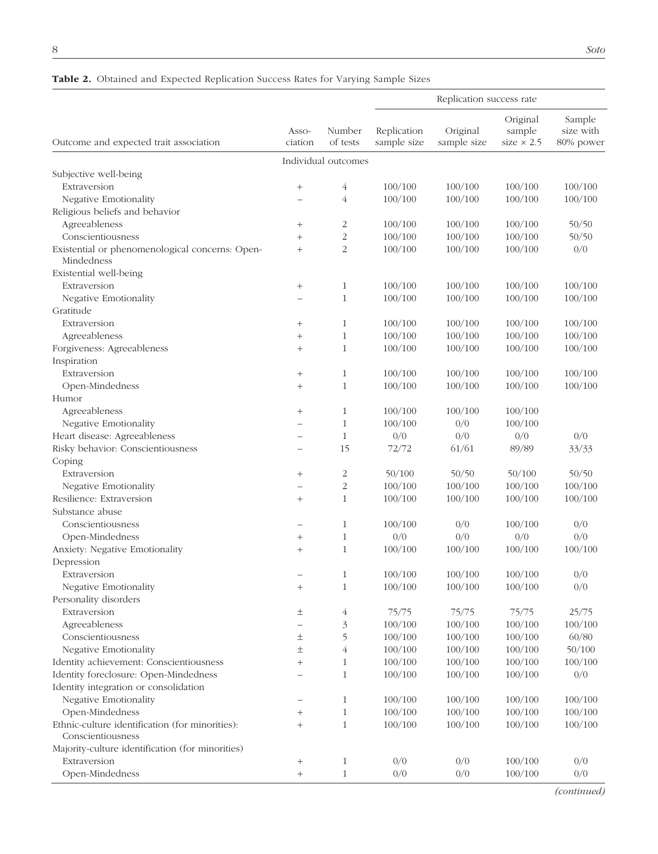### Table 2. Obtained and Expected Replication Success Rates for Varying Sample Sizes

|                                                               |                          |                               |                            | Replication success rate |                                         |                                  |
|---------------------------------------------------------------|--------------------------|-------------------------------|----------------------------|--------------------------|-----------------------------------------|----------------------------------|
| Outcome and expected trait association                        | Asso-<br>ciation         | Number<br>of tests            | Replication<br>sample size | Original<br>sample size  | Original<br>sample<br>size $\times$ 2.5 | Sample<br>size with<br>80% power |
|                                                               |                          | Individual outcomes           |                            |                          |                                         |                                  |
| Subjective well-being                                         |                          |                               |                            |                          |                                         |                                  |
| Extraversion                                                  | $+$                      | $\overline{4}$                | 100/100                    | 100/100                  | 100/100                                 | 100/100                          |
| Negative Emotionality                                         |                          | $\overline{4}$                | 100/100                    | 100/100                  | 100/100                                 | 100/100                          |
| Religious beliefs and behavior                                |                          |                               |                            |                          |                                         |                                  |
| Agreeableness                                                 | $\! + \!\!\!\!$          | $\overline{2}$                | 100/100                    | 100/100                  | 100/100                                 | 50/50                            |
| Conscientiousness                                             | $^{+}$                   | $\overline{2}$                | 100/100                    | 100/100                  | 100/100                                 | 50/50                            |
| Existential or phenomenological concerns: Open-<br>Mindedness | $^{+}$                   | $\overline{2}$                | 100/100                    | 100/100                  | 100/100                                 | 0/0                              |
| Existential well-being                                        |                          |                               |                            |                          |                                         |                                  |
| Extraversion                                                  | $^{+}$                   | $\mathbf{1}$                  | 100/100                    | 100/100                  | 100/100                                 | 100/100                          |
| Negative Emotionality                                         |                          | $\mathbf 1$                   | 100/100                    | 100/100                  | 100/100                                 | 100/100                          |
| Gratitude                                                     |                          |                               |                            |                          |                                         |                                  |
| Extraversion                                                  | $^{+}$                   | $\mathbf{1}$                  | 100/100                    | 100/100                  | 100/100                                 | 100/100                          |
| Agreeableness                                                 | $^{+}$                   | $\mathbf{1}$                  | 100/100                    | 100/100                  | 100/100                                 | 100/100                          |
| Forgiveness: Agreeableness                                    | $^{+}$                   | $\mathbf{1}$                  | 100/100                    | 100/100                  | 100/100                                 | 100/100                          |
| Inspiration                                                   |                          |                               |                            |                          |                                         |                                  |
| Extraversion                                                  | $^{+}$                   | $\mathbf{1}$                  | 100/100                    | 100/100                  | 100/100                                 | 100/100                          |
| Open-Mindedness                                               | $^{+}$                   | 1                             | 100/100                    | 100/100                  | 100/100                                 | 100/100                          |
| Humor                                                         |                          |                               |                            |                          |                                         |                                  |
| Agreeableness                                                 | $^{+}$                   | $\mathbf{1}$                  | 100/100                    | 100/100                  | 100/100                                 |                                  |
| Negative Emotionality                                         |                          | $\mathbf{1}$                  | 100/100                    | 0/0                      | 100/100                                 |                                  |
| Heart disease: Agreeableness                                  |                          | $\mathbf{1}$                  | 0/0                        | 0/0                      | 0/0                                     | 0/0                              |
| Risky behavior: Conscientiousness                             |                          | 15                            | 72/72                      | 61/61                    | 89/89                                   | 33/33                            |
| Coping                                                        |                          |                               |                            |                          |                                         |                                  |
| Extraversion                                                  | $^{+}$                   | $\overline{2}$                | 50/100                     | 50/50                    | 50/100                                  | 50/50                            |
| Negative Emotionality                                         |                          | $\overline{2}$                | 100/100                    | 100/100                  | 100/100                                 | 100/100                          |
| Resilience: Extraversion                                      | $^{+}$                   | $\mathbf{1}$                  | 100/100                    | 100/100                  | 100/100                                 | 100/100                          |
| Substance abuse                                               |                          |                               |                            |                          |                                         |                                  |
| Conscientiousness                                             | $\overline{\phantom{0}}$ | $\mathbf{1}$                  | 100/100                    | 0/0                      | 100/100                                 | 0/0                              |
| Open-Mindedness                                               | $\! + \!\!\!\!$          | 1                             | 0/0                        | 0/0                      | 0/0                                     | 0/0                              |
| Anxiety: Negative Emotionality                                | $^{+}$                   | 1                             | 100/100                    | 100/100                  | 100/100                                 | 100/100                          |
| Depression                                                    |                          |                               |                            |                          |                                         |                                  |
| Extraversion                                                  |                          | 1                             | 100/100                    | 100/100                  | 100/100                                 | 0/0                              |
| Negative Emotionality                                         | $\! + \!\!\!\!$          | $\mathbf{1}$                  | 100/100                    | 100/100                  | 100/100                                 | 0/0                              |
| Personality disorders                                         |                          |                               |                            |                          |                                         |                                  |
| Extraversion                                                  | 土                        | 4                             | 75/75                      | 75/75                    | 75/75                                   | 25/75                            |
| Agreeableness                                                 | $\overline{\phantom{0}}$ | $\mathfrak{Z}_{\mathfrak{D}}$ | 100/100                    | 100/100                  | 100/100                                 | 100/100                          |
| Conscientiousness                                             | 土                        | 5                             | 100/100                    | 100/100                  | 100/100                                 | 60/80                            |
| Negative Emotionality                                         | $\pm$                    | $\overline{4}$                | 100/100                    | 100/100                  | 100/100                                 | 50/100                           |
| Identity achievement: Conscientiousness                       | $^{+}$                   | 1                             | 100/100                    | 100/100                  | 100/100                                 | 100/100                          |
| Identity foreclosure: Open-Mindedness                         |                          | $\mathbf{1}$                  | 100/100                    | 100/100                  | 100/100                                 | 0/0                              |
| Identity integration or consolidation                         |                          |                               |                            |                          |                                         |                                  |
| Negative Emotionality                                         | —                        | $\mathbf{1}$                  | 100/100                    | 100/100                  | 100/100                                 | 100/100                          |
| Open-Mindedness                                               | $\! + \!\!\!\!$          | $\mathbf 1$                   | 100/100                    | 100/100                  | 100/100                                 | 100/100                          |
| Ethnic-culture identification (for minorities):               | $\! + \!\!\!\!$          | $\mathbf{1}$                  | 100/100                    | 100/100                  | 100/100                                 | 100/100                          |
| Conscientiousness                                             |                          |                               |                            |                          |                                         |                                  |
| Majority-culture identification (for minorities)              |                          |                               |                            |                          |                                         |                                  |
| Extraversion                                                  | $^{+}$                   | 1                             | 0/0                        | 0/0                      | 100/100                                 | 0/0                              |
| Open-Mindedness                                               | $\! + \!\!\!\!$          | $\mathbf{1}$                  | $0/0$                      | $0/0$                    | 100/100                                 | $0/0$                            |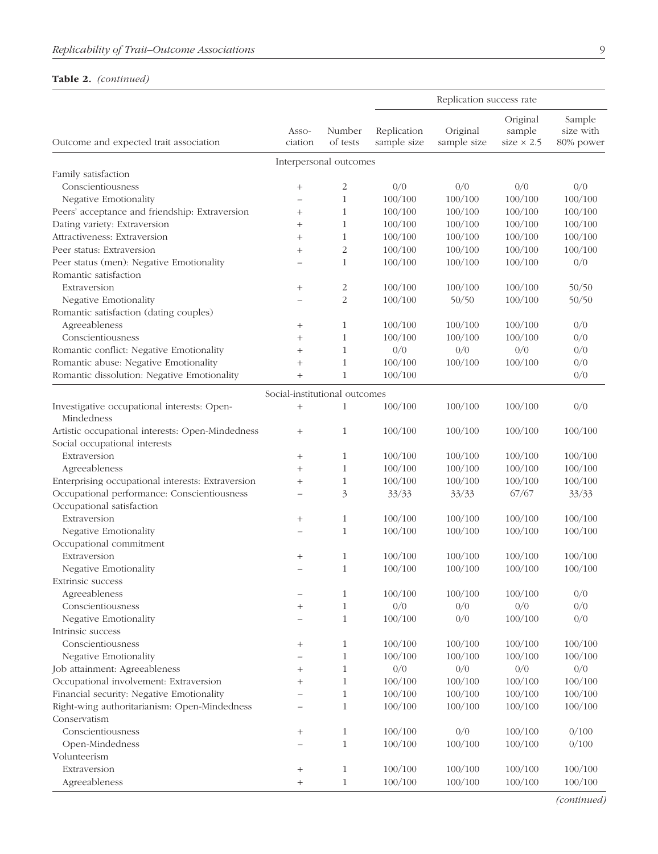## Table 2. *(continued)*

| Sample<br>Original<br>sample<br>size with<br>Number<br>Replication<br>Original<br>Asso-<br>of tests<br>sample size<br>sample size<br>size $\times$ 2.5<br>Outcome and expected trait association<br>ciation<br>80% power<br>Interpersonal outcomes<br>Family satisfaction<br>Conscientiousness<br>$\overline{2}$<br>0/0<br>0/0<br>0/0<br>0/0<br>$^{+}$<br>Negative Emotionality<br>$\mathbf{1}$<br>100/100<br>100/100<br>100/100<br>100/100<br>Peers' acceptance and friendship: Extraversion<br>$\mathbf{1}$<br>100/100<br>100/100<br>100/100<br>100/100<br>$^{+}$<br>Dating variety: Extraversion<br>100/100<br>100/100<br>1<br>100/100<br>100/100<br>$^{+}$<br>Attractiveness: Extraversion<br>$\mathbf{1}$<br>100/100<br>100/100<br>100/100<br>100/100<br>$^{+}$<br>$\sqrt{2}$<br>Peer status: Extraversion<br>100/100<br>100/100<br>100/100<br>100/100<br>$^{+}$<br>Peer status (men): Negative Emotionality<br>$\mathbf{1}$<br>0/0<br>100/100<br>100/100<br>100/100<br>Romantic satisfaction<br>100/100<br>100/100<br>100/100<br>50/50<br>Extraversion<br>2<br>$^{+}$<br>$\overline{2}$<br>50/50<br>Negative Emotionality<br>100/100<br>50/50<br>100/100<br>Romantic satisfaction (dating couples)<br>Agreeableness<br>100/100<br>100/100<br>100/100<br>0/0<br>1<br>$^+$<br>0/0<br>Conscientiousness<br>$\mathbf{1}$<br>100/100<br>100/100<br>100/100<br>$^{+}$<br>0/0<br>Romantic conflict: Negative Emotionality<br>$\mathbf{1}$<br>0/0<br>0/0<br>0/0<br>$^{+}$<br>Romantic abuse: Negative Emotionality<br>$\mathbf{1}$<br>100/100<br>100/100<br>100/100<br>0/0<br>$^{+}$<br>Romantic dissolution: Negative Emotionality<br>$\mathbf{1}$<br>100/100<br>0/0<br>$^{+}$ |  |
|-------------------------------------------------------------------------------------------------------------------------------------------------------------------------------------------------------------------------------------------------------------------------------------------------------------------------------------------------------------------------------------------------------------------------------------------------------------------------------------------------------------------------------------------------------------------------------------------------------------------------------------------------------------------------------------------------------------------------------------------------------------------------------------------------------------------------------------------------------------------------------------------------------------------------------------------------------------------------------------------------------------------------------------------------------------------------------------------------------------------------------------------------------------------------------------------------------------------------------------------------------------------------------------------------------------------------------------------------------------------------------------------------------------------------------------------------------------------------------------------------------------------------------------------------------------------------------------------------------------------------------------------------------------------------------|--|
|                                                                                                                                                                                                                                                                                                                                                                                                                                                                                                                                                                                                                                                                                                                                                                                                                                                                                                                                                                                                                                                                                                                                                                                                                                                                                                                                                                                                                                                                                                                                                                                                                                                                               |  |
|                                                                                                                                                                                                                                                                                                                                                                                                                                                                                                                                                                                                                                                                                                                                                                                                                                                                                                                                                                                                                                                                                                                                                                                                                                                                                                                                                                                                                                                                                                                                                                                                                                                                               |  |
|                                                                                                                                                                                                                                                                                                                                                                                                                                                                                                                                                                                                                                                                                                                                                                                                                                                                                                                                                                                                                                                                                                                                                                                                                                                                                                                                                                                                                                                                                                                                                                                                                                                                               |  |
|                                                                                                                                                                                                                                                                                                                                                                                                                                                                                                                                                                                                                                                                                                                                                                                                                                                                                                                                                                                                                                                                                                                                                                                                                                                                                                                                                                                                                                                                                                                                                                                                                                                                               |  |
|                                                                                                                                                                                                                                                                                                                                                                                                                                                                                                                                                                                                                                                                                                                                                                                                                                                                                                                                                                                                                                                                                                                                                                                                                                                                                                                                                                                                                                                                                                                                                                                                                                                                               |  |
|                                                                                                                                                                                                                                                                                                                                                                                                                                                                                                                                                                                                                                                                                                                                                                                                                                                                                                                                                                                                                                                                                                                                                                                                                                                                                                                                                                                                                                                                                                                                                                                                                                                                               |  |
|                                                                                                                                                                                                                                                                                                                                                                                                                                                                                                                                                                                                                                                                                                                                                                                                                                                                                                                                                                                                                                                                                                                                                                                                                                                                                                                                                                                                                                                                                                                                                                                                                                                                               |  |
|                                                                                                                                                                                                                                                                                                                                                                                                                                                                                                                                                                                                                                                                                                                                                                                                                                                                                                                                                                                                                                                                                                                                                                                                                                                                                                                                                                                                                                                                                                                                                                                                                                                                               |  |
|                                                                                                                                                                                                                                                                                                                                                                                                                                                                                                                                                                                                                                                                                                                                                                                                                                                                                                                                                                                                                                                                                                                                                                                                                                                                                                                                                                                                                                                                                                                                                                                                                                                                               |  |
|                                                                                                                                                                                                                                                                                                                                                                                                                                                                                                                                                                                                                                                                                                                                                                                                                                                                                                                                                                                                                                                                                                                                                                                                                                                                                                                                                                                                                                                                                                                                                                                                                                                                               |  |
|                                                                                                                                                                                                                                                                                                                                                                                                                                                                                                                                                                                                                                                                                                                                                                                                                                                                                                                                                                                                                                                                                                                                                                                                                                                                                                                                                                                                                                                                                                                                                                                                                                                                               |  |
|                                                                                                                                                                                                                                                                                                                                                                                                                                                                                                                                                                                                                                                                                                                                                                                                                                                                                                                                                                                                                                                                                                                                                                                                                                                                                                                                                                                                                                                                                                                                                                                                                                                                               |  |
|                                                                                                                                                                                                                                                                                                                                                                                                                                                                                                                                                                                                                                                                                                                                                                                                                                                                                                                                                                                                                                                                                                                                                                                                                                                                                                                                                                                                                                                                                                                                                                                                                                                                               |  |
|                                                                                                                                                                                                                                                                                                                                                                                                                                                                                                                                                                                                                                                                                                                                                                                                                                                                                                                                                                                                                                                                                                                                                                                                                                                                                                                                                                                                                                                                                                                                                                                                                                                                               |  |
|                                                                                                                                                                                                                                                                                                                                                                                                                                                                                                                                                                                                                                                                                                                                                                                                                                                                                                                                                                                                                                                                                                                                                                                                                                                                                                                                                                                                                                                                                                                                                                                                                                                                               |  |
|                                                                                                                                                                                                                                                                                                                                                                                                                                                                                                                                                                                                                                                                                                                                                                                                                                                                                                                                                                                                                                                                                                                                                                                                                                                                                                                                                                                                                                                                                                                                                                                                                                                                               |  |
|                                                                                                                                                                                                                                                                                                                                                                                                                                                                                                                                                                                                                                                                                                                                                                                                                                                                                                                                                                                                                                                                                                                                                                                                                                                                                                                                                                                                                                                                                                                                                                                                                                                                               |  |
|                                                                                                                                                                                                                                                                                                                                                                                                                                                                                                                                                                                                                                                                                                                                                                                                                                                                                                                                                                                                                                                                                                                                                                                                                                                                                                                                                                                                                                                                                                                                                                                                                                                                               |  |
|                                                                                                                                                                                                                                                                                                                                                                                                                                                                                                                                                                                                                                                                                                                                                                                                                                                                                                                                                                                                                                                                                                                                                                                                                                                                                                                                                                                                                                                                                                                                                                                                                                                                               |  |
| Social-institutional outcomes                                                                                                                                                                                                                                                                                                                                                                                                                                                                                                                                                                                                                                                                                                                                                                                                                                                                                                                                                                                                                                                                                                                                                                                                                                                                                                                                                                                                                                                                                                                                                                                                                                                 |  |
| Investigative occupational interests: Open-<br>100/100<br>0/0<br>$\mathbf{1}$<br>100/100<br>100/100<br>$^{+}$<br>Mindedness                                                                                                                                                                                                                                                                                                                                                                                                                                                                                                                                                                                                                                                                                                                                                                                                                                                                                                                                                                                                                                                                                                                                                                                                                                                                                                                                                                                                                                                                                                                                                   |  |
| Artistic occupational interests: Open-Mindedness<br>$\mathbf{1}$<br>100/100<br>100/100<br>100/100<br>100/100<br>$^{+}$                                                                                                                                                                                                                                                                                                                                                                                                                                                                                                                                                                                                                                                                                                                                                                                                                                                                                                                                                                                                                                                                                                                                                                                                                                                                                                                                                                                                                                                                                                                                                        |  |
| Social occupational interests                                                                                                                                                                                                                                                                                                                                                                                                                                                                                                                                                                                                                                                                                                                                                                                                                                                                                                                                                                                                                                                                                                                                                                                                                                                                                                                                                                                                                                                                                                                                                                                                                                                 |  |
| Extraversion<br>100/100<br>100/100<br>100/100<br>100/100<br>1<br>$^{+}$                                                                                                                                                                                                                                                                                                                                                                                                                                                                                                                                                                                                                                                                                                                                                                                                                                                                                                                                                                                                                                                                                                                                                                                                                                                                                                                                                                                                                                                                                                                                                                                                       |  |
| Agreeableness<br>100/100<br>100/100<br>100/100<br>100/100<br>$\mathbf{1}$<br>$^{+}$                                                                                                                                                                                                                                                                                                                                                                                                                                                                                                                                                                                                                                                                                                                                                                                                                                                                                                                                                                                                                                                                                                                                                                                                                                                                                                                                                                                                                                                                                                                                                                                           |  |
| Enterprising occupational interests: Extraversion<br>$\mathbf{1}$<br>100/100<br>100/100<br>100/100<br>100/100<br>$^{+}$                                                                                                                                                                                                                                                                                                                                                                                                                                                                                                                                                                                                                                                                                                                                                                                                                                                                                                                                                                                                                                                                                                                                                                                                                                                                                                                                                                                                                                                                                                                                                       |  |
| Occupational performance: Conscientiousness<br>3<br>67/67<br>33/33<br>33/33<br>33/33                                                                                                                                                                                                                                                                                                                                                                                                                                                                                                                                                                                                                                                                                                                                                                                                                                                                                                                                                                                                                                                                                                                                                                                                                                                                                                                                                                                                                                                                                                                                                                                          |  |
| Occupational satisfaction                                                                                                                                                                                                                                                                                                                                                                                                                                                                                                                                                                                                                                                                                                                                                                                                                                                                                                                                                                                                                                                                                                                                                                                                                                                                                                                                                                                                                                                                                                                                                                                                                                                     |  |
| $\mathbf{1}$<br>100/100<br>100/100<br>100/100<br>100/100<br>Extraversion<br>$^{+}$                                                                                                                                                                                                                                                                                                                                                                                                                                                                                                                                                                                                                                                                                                                                                                                                                                                                                                                                                                                                                                                                                                                                                                                                                                                                                                                                                                                                                                                                                                                                                                                            |  |
| 100/100<br>100/100<br>100/100<br>100/100<br>Negative Emotionality<br>$\mathbf{1}$                                                                                                                                                                                                                                                                                                                                                                                                                                                                                                                                                                                                                                                                                                                                                                                                                                                                                                                                                                                                                                                                                                                                                                                                                                                                                                                                                                                                                                                                                                                                                                                             |  |
| Occupational commitment                                                                                                                                                                                                                                                                                                                                                                                                                                                                                                                                                                                                                                                                                                                                                                                                                                                                                                                                                                                                                                                                                                                                                                                                                                                                                                                                                                                                                                                                                                                                                                                                                                                       |  |
| Extraversion<br>$\mathbf{1}$<br>100/100<br>100/100<br>100/100<br>100/100<br>$^{+}$                                                                                                                                                                                                                                                                                                                                                                                                                                                                                                                                                                                                                                                                                                                                                                                                                                                                                                                                                                                                                                                                                                                                                                                                                                                                                                                                                                                                                                                                                                                                                                                            |  |
| $\mathbf{1}$<br>100/100<br>100/100<br>Negative Emotionality<br>100/100<br>100/100                                                                                                                                                                                                                                                                                                                                                                                                                                                                                                                                                                                                                                                                                                                                                                                                                                                                                                                                                                                                                                                                                                                                                                                                                                                                                                                                                                                                                                                                                                                                                                                             |  |
| Extrinsic success                                                                                                                                                                                                                                                                                                                                                                                                                                                                                                                                                                                                                                                                                                                                                                                                                                                                                                                                                                                                                                                                                                                                                                                                                                                                                                                                                                                                                                                                                                                                                                                                                                                             |  |
| 100/100<br>100/100<br>100/100<br>0/0<br>Agreeableness<br>$\mathbf{1}$                                                                                                                                                                                                                                                                                                                                                                                                                                                                                                                                                                                                                                                                                                                                                                                                                                                                                                                                                                                                                                                                                                                                                                                                                                                                                                                                                                                                                                                                                                                                                                                                         |  |
| 0/0<br>0/0<br>0/0<br>0/0<br>Conscientiousness<br>$\mathbf{1}$<br>$^{+}$                                                                                                                                                                                                                                                                                                                                                                                                                                                                                                                                                                                                                                                                                                                                                                                                                                                                                                                                                                                                                                                                                                                                                                                                                                                                                                                                                                                                                                                                                                                                                                                                       |  |
| 0/0<br>0/0<br>Negative Emotionality<br>100/100<br>100/100<br>$\mathbf{1}$                                                                                                                                                                                                                                                                                                                                                                                                                                                                                                                                                                                                                                                                                                                                                                                                                                                                                                                                                                                                                                                                                                                                                                                                                                                                                                                                                                                                                                                                                                                                                                                                     |  |
| Intrinsic success                                                                                                                                                                                                                                                                                                                                                                                                                                                                                                                                                                                                                                                                                                                                                                                                                                                                                                                                                                                                                                                                                                                                                                                                                                                                                                                                                                                                                                                                                                                                                                                                                                                             |  |
| $\mathbf{1}$<br>100/100<br>Conscientiousness<br>100/100<br>100/100<br>100/100<br>$^{+}$                                                                                                                                                                                                                                                                                                                                                                                                                                                                                                                                                                                                                                                                                                                                                                                                                                                                                                                                                                                                                                                                                                                                                                                                                                                                                                                                                                                                                                                                                                                                                                                       |  |
| Negative Emotionality<br>100/100<br>100/100<br>$\mathbf{1}$<br>100/100<br>100/100                                                                                                                                                                                                                                                                                                                                                                                                                                                                                                                                                                                                                                                                                                                                                                                                                                                                                                                                                                                                                                                                                                                                                                                                                                                                                                                                                                                                                                                                                                                                                                                             |  |
| Job attainment: Agreeableness<br>$\mathbf{1}$<br>0/0<br>0/0<br>0/0<br>0/0<br>$^{+}$                                                                                                                                                                                                                                                                                                                                                                                                                                                                                                                                                                                                                                                                                                                                                                                                                                                                                                                                                                                                                                                                                                                                                                                                                                                                                                                                                                                                                                                                                                                                                                                           |  |
| Occupational involvement: Extraversion<br>$\mathbf{1}$<br>100/100<br>100/100<br>100/100<br>100/100<br>$^{+}$                                                                                                                                                                                                                                                                                                                                                                                                                                                                                                                                                                                                                                                                                                                                                                                                                                                                                                                                                                                                                                                                                                                                                                                                                                                                                                                                                                                                                                                                                                                                                                  |  |
| Financial security: Negative Emotionality<br>$\mathbf{1}$<br>100/100<br>100/100<br>100/100<br>100/100                                                                                                                                                                                                                                                                                                                                                                                                                                                                                                                                                                                                                                                                                                                                                                                                                                                                                                                                                                                                                                                                                                                                                                                                                                                                                                                                                                                                                                                                                                                                                                         |  |
| Right-wing authoritarianism: Open-Mindedness<br>100/100<br>100/100<br>100/100<br>100/100<br>$\mathbf{1}$                                                                                                                                                                                                                                                                                                                                                                                                                                                                                                                                                                                                                                                                                                                                                                                                                                                                                                                                                                                                                                                                                                                                                                                                                                                                                                                                                                                                                                                                                                                                                                      |  |
| Conservatism                                                                                                                                                                                                                                                                                                                                                                                                                                                                                                                                                                                                                                                                                                                                                                                                                                                                                                                                                                                                                                                                                                                                                                                                                                                                                                                                                                                                                                                                                                                                                                                                                                                                  |  |
| 100/100<br>0/0<br>0/100<br>Conscientiousness<br>$\mathbf{1}$<br>100/100<br>$\! + \!\!\!\!$                                                                                                                                                                                                                                                                                                                                                                                                                                                                                                                                                                                                                                                                                                                                                                                                                                                                                                                                                                                                                                                                                                                                                                                                                                                                                                                                                                                                                                                                                                                                                                                    |  |
| $\mathbf{1}$<br>100/100<br>0/100<br>Open-Mindedness<br>100/100<br>100/100                                                                                                                                                                                                                                                                                                                                                                                                                                                                                                                                                                                                                                                                                                                                                                                                                                                                                                                                                                                                                                                                                                                                                                                                                                                                                                                                                                                                                                                                                                                                                                                                     |  |
| Volunteerism                                                                                                                                                                                                                                                                                                                                                                                                                                                                                                                                                                                                                                                                                                                                                                                                                                                                                                                                                                                                                                                                                                                                                                                                                                                                                                                                                                                                                                                                                                                                                                                                                                                                  |  |
| Extraversion<br>100/100<br>100/100<br>$\mathbf{1}$<br>100/100<br>100/100<br>$\! + \!\!\!\!$                                                                                                                                                                                                                                                                                                                                                                                                                                                                                                                                                                                                                                                                                                                                                                                                                                                                                                                                                                                                                                                                                                                                                                                                                                                                                                                                                                                                                                                                                                                                                                                   |  |
| Agreeableness<br>$\mathbf{1}$<br>100/100<br>100/100<br>100/100<br>100/100<br>$^{+}$                                                                                                                                                                                                                                                                                                                                                                                                                                                                                                                                                                                                                                                                                                                                                                                                                                                                                                                                                                                                                                                                                                                                                                                                                                                                                                                                                                                                                                                                                                                                                                                           |  |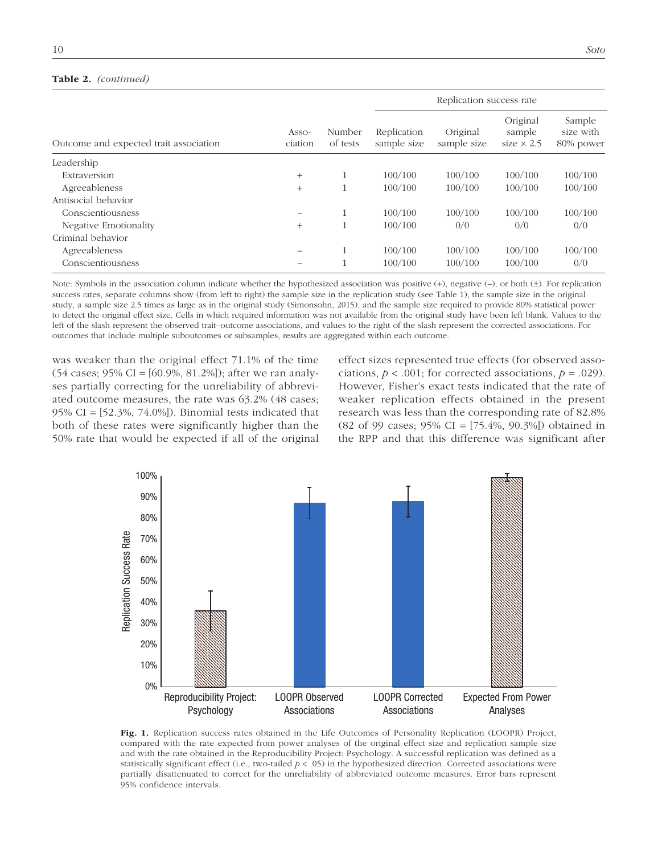#### Table 2. *(continued)*

|                                        |                  |                    |                            | Replication success rate |                                         |                                  |
|----------------------------------------|------------------|--------------------|----------------------------|--------------------------|-----------------------------------------|----------------------------------|
| Outcome and expected trait association | Asso-<br>ciation | Number<br>of tests | Replication<br>sample size | Original<br>sample size  | Original<br>sample<br>size $\times$ 2.5 | Sample<br>size with<br>80% power |
| Leadership                             |                  |                    |                            |                          |                                         |                                  |
| Extraversion                           | $+$              |                    | 100/100                    | 100/100                  | 100/100                                 | 100/100                          |
| Agreeableness                          | $+$              |                    | 100/100                    | 100/100                  | 100/100                                 | 100/100                          |
| Antisocial behavior                    |                  |                    |                            |                          |                                         |                                  |
| Conscientiousness                      |                  |                    | 100/100                    | 100/100                  | 100/100                                 | 100/100                          |
| Negative Emotionality                  | $+$              | -1                 | 100/100                    | 0/0                      | 0/0                                     | 0/0                              |
| Criminal behavior                      |                  |                    |                            |                          |                                         |                                  |
| Agreeableness                          |                  |                    | 100/100                    | 100/100                  | 100/100                                 | 100/100                          |
| Conscientiousness                      |                  | -1                 | 100/100                    | 100/100                  | 100/100                                 | 0/0                              |

Note: Symbols in the association column indicate whether the hypothesized association was positive (+), negative (–), or both (±). For replication success rates, separate columns show (from left to right) the sample size in the replication study (see Table 1), the sample size in the original study, a sample size 2.5 times as large as in the original study (Simonsohn, 2015), and the sample size required to provide 80% statistical power to detect the original effect size. Cells in which required information was not available from the original study have been left blank. Values to the left of the slash represent the observed trait–outcome associations, and values to the right of the slash represent the corrected associations. For outcomes that include multiple suboutcomes or subsamples, results are aggregated within each outcome.

was weaker than the original effect 71.1% of the time (54 cases; 95% CI = [60.9%, 81.2%]); after we ran analyses partially correcting for the unreliability of abbreviated outcome measures, the rate was 63.2% (48 cases; 95% CI = [52.3%, 74.0%]). Binomial tests indicated that both of these rates were significantly higher than the 50% rate that would be expected if all of the original effect sizes represented true effects (for observed associations,  $p < .001$ ; for corrected associations,  $p = .029$ ). However, Fisher's exact tests indicated that the rate of weaker replication effects obtained in the present research was less than the corresponding rate of 82.8% (82 of 99 cases; 95% CI = [75.4%, 90.3%]) obtained in the RPP and that this difference was significant after



Fig. 1. Replication success rates obtained in the Life Outcomes of Personality Replication (LOOPR) Project, compared with the rate expected from power analyses of the original effect size and replication sample size and with the rate obtained in the Reproducibility Project: Psychology. A successful replication was defined as a statistically significant effect (i.e., two-tailed  $p < .05$ ) in the hypothesized direction. Corrected associations were partially disattenuated to correct for the unreliability of abbreviated outcome measures. Error bars represent 95% confidence intervals.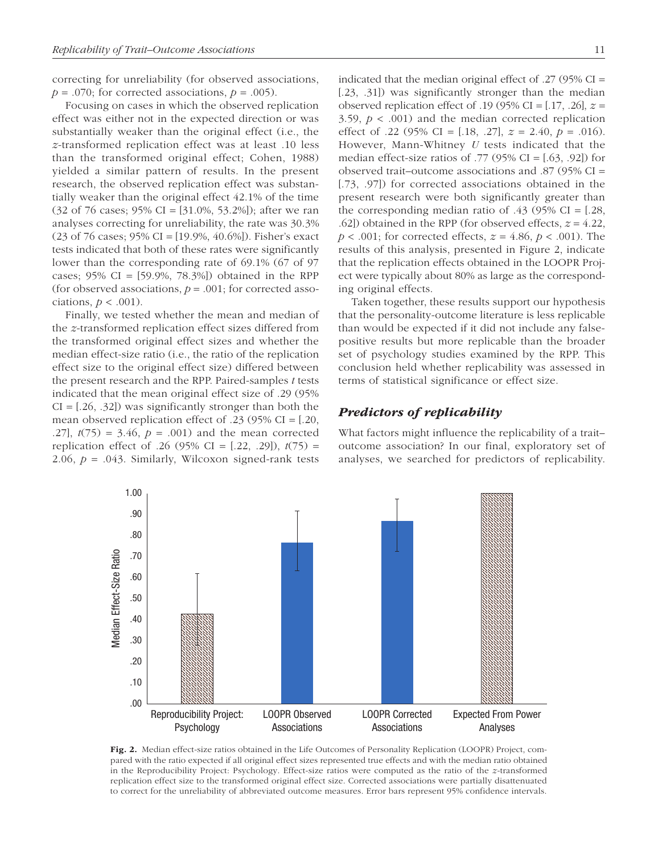correcting for unreliability (for observed associations,  $p = .070$ ; for corrected associations,  $p = .005$ ).

Focusing on cases in which the observed replication effect was either not in the expected direction or was substantially weaker than the original effect (i.e., the *z*-transformed replication effect was at least .10 less than the transformed original effect; Cohen, 1988) yielded a similar pattern of results. In the present research, the observed replication effect was substantially weaker than the original effect 42.1% of the time (32 of 76 cases; 95% CI = [31.0%, 53.2%]); after we ran analyses correcting for unreliability, the rate was 30.3% (23 of 76 cases; 95% CI = [19.9%, 40.6%]). Fisher's exact tests indicated that both of these rates were significantly lower than the corresponding rate of 69.1% (67 of 97 cases;  $95\%$  CI = [59.9%, 78.3%]) obtained in the RPP (for observed associations,  $p = .001$ ; for corrected associations,  $p < .001$ ).

Finally, we tested whether the mean and median of the *z*-transformed replication effect sizes differed from the transformed original effect sizes and whether the median effect-size ratio (i.e., the ratio of the replication effect size to the original effect size) differed between the present research and the RPP. Paired-samples *t* tests indicated that the mean original effect size of .29 (95%  $CI = [.26, .32])$  was significantly stronger than both the mean observed replication effect of .23 (95% CI =  $[0.20, 1]$ .27], *t*(75) = 3.46, *p* = .001) and the mean corrected replication effect of .26 (95% CI = [.22, .29]), *t*(75) = 2.06,  $p = .043$ . Similarly, Wilcoxon signed-rank tests indicated that the median original effect of  $.27$  (95% CI = [.23, .31]) was significantly stronger than the median observed replication effect of .19 (95% CI = [.17, .26], *z* = 3.59,  $p < .001$ ) and the median corrected replication effect of .22 (95% CI = [.18, .27], *z* = 2.40, *p* = .016). However, Mann-Whitney *U* tests indicated that the median effect-size ratios of .77 (95% CI =  $[0.63, 0.92]$ ) for observed trait–outcome associations and .87 (95% CI = [.73, .97]) for corrected associations obtained in the present research were both significantly greater than the corresponding median ratio of .43 (95% CI =  $[0.28]$ . .62]) obtained in the RPP (for observed effects,  $z = 4.22$ , *p* < .001; for corrected effects, *z* = 4.86, *p* < .001). The results of this analysis, presented in Figure 2, indicate that the replication effects obtained in the LOOPR Project were typically about 80% as large as the corresponding original effects.

Taken together, these results support our hypothesis that the personality-outcome literature is less replicable than would be expected if it did not include any falsepositive results but more replicable than the broader set of psychology studies examined by the RPP. This conclusion held whether replicability was assessed in terms of statistical significance or effect size.

## *Predictors of replicability*

What factors might influence the replicability of a trait– outcome association? In our final, exploratory set of analyses, we searched for predictors of replicability.



Fig. 2. Median effect-size ratios obtained in the Life Outcomes of Personality Replication (LOOPR) Project, compared with the ratio expected if all original effect sizes represented true effects and with the median ratio obtained in the Reproducibility Project: Psychology. Effect-size ratios were computed as the ratio of the *z*-transformed replication effect size to the transformed original effect size. Corrected associations were partially disattenuated to correct for the unreliability of abbreviated outcome measures. Error bars represent 95% confidence intervals.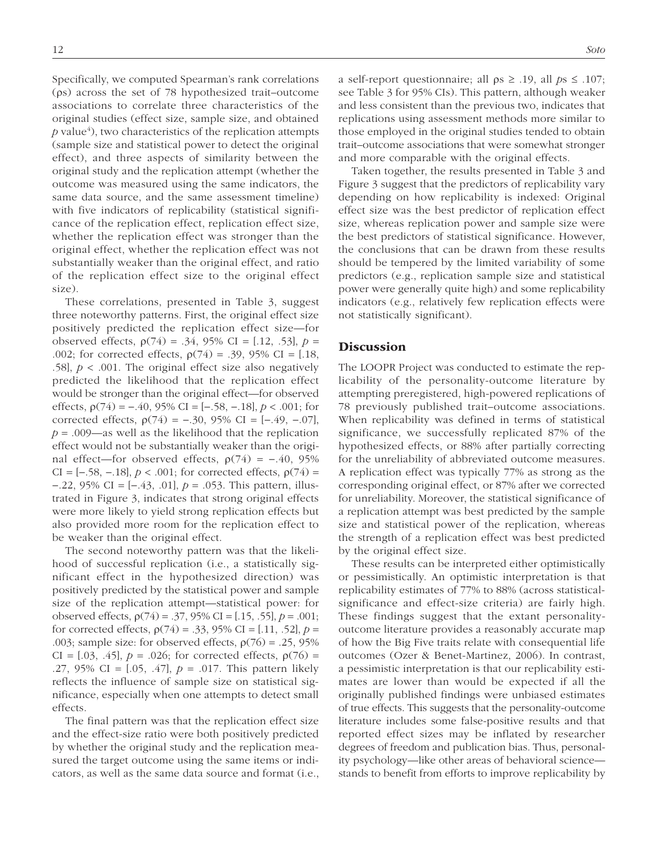Specifically, we computed Spearman's rank correlations (ρs) across the set of 78 hypothesized trait–outcome associations to correlate three characteristics of the original studies (effect size, sample size, and obtained  $p$  value<sup>4</sup>), two characteristics of the replication attempts (sample size and statistical power to detect the original effect), and three aspects of similarity between the original study and the replication attempt (whether the outcome was measured using the same indicators, the same data source, and the same assessment timeline) with five indicators of replicability (statistical significance of the replication effect, replication effect size, whether the replication effect was stronger than the original effect, whether the replication effect was not substantially weaker than the original effect, and ratio of the replication effect size to the original effect size).

These correlations, presented in Table 3, suggest three noteworthy patterns. First, the original effect size positively predicted the replication effect size—for observed effects,  $\rho(74) = .34, 95\% \text{ CI} = [.12, .53], p =$ .002; for corrected effects,  $p(74) = .39, 95\% \text{ CI} = [.18,$ .58], *p* < .001. The original effect size also negatively predicted the likelihood that the replication effect would be stronger than the original effect—for observed effects, ρ(74) = −.40, 95% CI = [−.58, −.18], *p* < .001; for corrected effects,  $\rho(74) = -.30, 95\% \text{ CI} = [-.49, -.07],$  $p = .009$ —as well as the likelihood that the replication effect would not be substantially weaker than the original effect—for observed effects,  $\rho(74) = -.40, 95\%$ CI =  $[-.58, -.18]$ ,  $p < .001$ ; for corrected effects,  $p(74)$  = −.22, 95% CI = [−.43, .01], *p* = .053. This pattern, illustrated in Figure 3, indicates that strong original effects were more likely to yield strong replication effects but also provided more room for the replication effect to be weaker than the original effect.

The second noteworthy pattern was that the likelihood of successful replication (i.e., a statistically significant effect in the hypothesized direction) was positively predicted by the statistical power and sample size of the replication attempt—statistical power: for observed effects, ρ(74) = .37, 95% CI = [.15, .55], *p* = .001; for corrected effects,  $p(74) = .33,95\%$  CI = [.11, .52],  $p =$ .003; sample size: for observed effects,  $\rho(76) = .25, 95\%$ CI =  $[.03, .45]$ ,  $p = .026$ ; for corrected effects,  $p(76) =$ .27, 95% CI = [.05, .47], *p* = .017. This pattern likely reflects the influence of sample size on statistical significance, especially when one attempts to detect small effects.

The final pattern was that the replication effect size and the effect-size ratio were both positively predicted by whether the original study and the replication measured the target outcome using the same items or indicators, as well as the same data source and format (i.e., a self-report questionnaire; all ρs ≥ .19, all *p*s ≤ .107; see Table 3 for 95% CIs). This pattern, although weaker and less consistent than the previous two, indicates that replications using assessment methods more similar to those employed in the original studies tended to obtain trait–outcome associations that were somewhat stronger and more comparable with the original effects.

Taken together, the results presented in Table 3 and Figure 3 suggest that the predictors of replicability vary depending on how replicability is indexed: Original effect size was the best predictor of replication effect size, whereas replication power and sample size were the best predictors of statistical significance. However, the conclusions that can be drawn from these results should be tempered by the limited variability of some predictors (e.g., replication sample size and statistical power were generally quite high) and some replicability indicators (e.g., relatively few replication effects were not statistically significant).

### **Discussion**

The LOOPR Project was conducted to estimate the replicability of the personality-outcome literature by attempting preregistered, high-powered replications of 78 previously published trait–outcome associations. When replicability was defined in terms of statistical significance, we successfully replicated 87% of the hypothesized effects, or 88% after partially correcting for the unreliability of abbreviated outcome measures. A replication effect was typically 77% as strong as the corresponding original effect, or 87% after we corrected for unreliability. Moreover, the statistical significance of a replication attempt was best predicted by the sample size and statistical power of the replication, whereas the strength of a replication effect was best predicted by the original effect size.

These results can be interpreted either optimistically or pessimistically. An optimistic interpretation is that replicability estimates of 77% to 88% (across statisticalsignificance and effect-size criteria) are fairly high. These findings suggest that the extant personalityoutcome literature provides a reasonably accurate map of how the Big Five traits relate with consequential life outcomes (Ozer & Benet-Martinez, 2006). In contrast, a pessimistic interpretation is that our replicability estimates are lower than would be expected if all the originally published findings were unbiased estimates of true effects. This suggests that the personality-outcome literature includes some false-positive results and that reported effect sizes may be inflated by researcher degrees of freedom and publication bias. Thus, personality psychology—like other areas of behavioral science stands to benefit from efforts to improve replicability by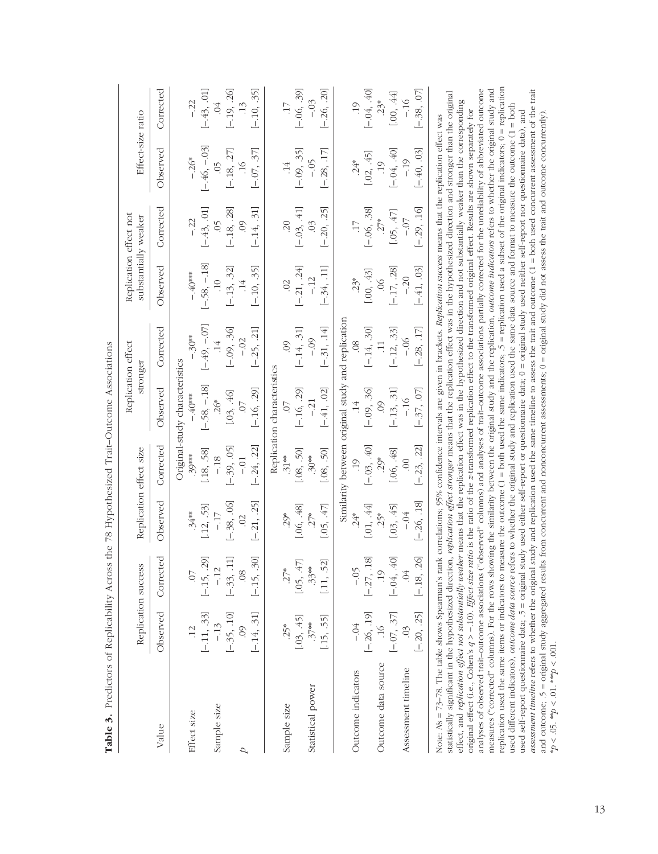| <b>Table 3.</b> Predictors of Replicability Across the 78 Hypothesized Trait-Outcome Associations                                                                                                                                                                                                                                                                                                                                                                                                                                                                                                                                                                                                                                                                                                                                                                                                                                                                                                                                                                                                                                                                                                                                                                                                                                                                                                                                                                                                                                                                                                                                                                                                                                                                                                                                                                            |                   |                                  |                         |               |                                                   |               |                                                                                                                                                                                                                                                                   |                   |                     |                  |
|------------------------------------------------------------------------------------------------------------------------------------------------------------------------------------------------------------------------------------------------------------------------------------------------------------------------------------------------------------------------------------------------------------------------------------------------------------------------------------------------------------------------------------------------------------------------------------------------------------------------------------------------------------------------------------------------------------------------------------------------------------------------------------------------------------------------------------------------------------------------------------------------------------------------------------------------------------------------------------------------------------------------------------------------------------------------------------------------------------------------------------------------------------------------------------------------------------------------------------------------------------------------------------------------------------------------------------------------------------------------------------------------------------------------------------------------------------------------------------------------------------------------------------------------------------------------------------------------------------------------------------------------------------------------------------------------------------------------------------------------------------------------------------------------------------------------------------------------------------------------------|-------------------|----------------------------------|-------------------------|---------------|---------------------------------------------------|---------------|-------------------------------------------------------------------------------------------------------------------------------------------------------------------------------------------------------------------------------------------------------------------|-------------------|---------------------|------------------|
|                                                                                                                                                                                                                                                                                                                                                                                                                                                                                                                                                                                                                                                                                                                                                                                                                                                                                                                                                                                                                                                                                                                                                                                                                                                                                                                                                                                                                                                                                                                                                                                                                                                                                                                                                                                                                                                                              | Replication succe | $\mathbf{S}$                     | Replication effect size |               | Replication effect                                | stronger      | Replication effect not<br>substantially weaker                                                                                                                                                                                                                    |                   | Effect-size ratio   |                  |
| Value                                                                                                                                                                                                                                                                                                                                                                                                                                                                                                                                                                                                                                                                                                                                                                                                                                                                                                                                                                                                                                                                                                                                                                                                                                                                                                                                                                                                                                                                                                                                                                                                                                                                                                                                                                                                                                                                        | Observed          | Corrected                        | Observed                | Corrected     | Observed                                          | Corrected     | Observed                                                                                                                                                                                                                                                          | Corrected         | Observed            | Corrected        |
|                                                                                                                                                                                                                                                                                                                                                                                                                                                                                                                                                                                                                                                                                                                                                                                                                                                                                                                                                                                                                                                                                                                                                                                                                                                                                                                                                                                                                                                                                                                                                                                                                                                                                                                                                                                                                                                                              |                   |                                  |                         |               | Original-study characteristics                    |               |                                                                                                                                                                                                                                                                   |                   |                     |                  |
| Effect size                                                                                                                                                                                                                                                                                                                                                                                                                                                                                                                                                                                                                                                                                                                                                                                                                                                                                                                                                                                                                                                                                                                                                                                                                                                                                                                                                                                                                                                                                                                                                                                                                                                                                                                                                                                                                                                                  |                   | $\ddot{\theta}$                  | $.34***$                | $.39***$      | $-40***$                                          | $-.30***$     | $-\mathcal{A}0^{\text{stets}}$                                                                                                                                                                                                                                    | $-22$             | $-.26*$             | $-.22$           |
|                                                                                                                                                                                                                                                                                                                                                                                                                                                                                                                                                                                                                                                                                                                                                                                                                                                                                                                                                                                                                                                                                                                                                                                                                                                                                                                                                                                                                                                                                                                                                                                                                                                                                                                                                                                                                                                                              | $[-.11, .33]$     | $[-.15, .29]$                    | [.12, .53]              | [.18, .58]    | $[-.58, -.18]$                                    | $[-49, -07]$  | $[-58, -18]$                                                                                                                                                                                                                                                      | $[-43, .01]$      | $[-46, -03]$        | $[-43, .01]$     |
| Sample size                                                                                                                                                                                                                                                                                                                                                                                                                                                                                                                                                                                                                                                                                                                                                                                                                                                                                                                                                                                                                                                                                                                                                                                                                                                                                                                                                                                                                                                                                                                                                                                                                                                                                                                                                                                                                                                                  |                   | $-12$                            | $-17$                   | $-18$         |                                                   |               |                                                                                                                                                                                                                                                                   | $\widetilde{0}$ . | $\widetilde{\zeta}$ |                  |
|                                                                                                                                                                                                                                                                                                                                                                                                                                                                                                                                                                                                                                                                                                                                                                                                                                                                                                                                                                                                                                                                                                                                                                                                                                                                                                                                                                                                                                                                                                                                                                                                                                                                                                                                                                                                                                                                              | $[-.35, .10]$     | $[-.33, .11]$                    | $[-.38, .06]$           | $[-.39, .05]$ | [0.03, 0.46]                                      | $[-.09, .36]$ | $[-.13, .32]$                                                                                                                                                                                                                                                     | $[-.18, .28]$     | $[-.18, .27]$       | $[-.19, .26]$    |
| Þ                                                                                                                                                                                                                                                                                                                                                                                                                                                                                                                                                                                                                                                                                                                                                                                                                                                                                                                                                                                                                                                                                                                                                                                                                                                                                                                                                                                                                                                                                                                                                                                                                                                                                                                                                                                                                                                                            |                   | $\frac{8}{3}$                    |                         |               | $\overline{0}$ .                                  | $-.02$        |                                                                                                                                                                                                                                                                   | $\odot$           |                     |                  |
|                                                                                                                                                                                                                                                                                                                                                                                                                                                                                                                                                                                                                                                                                                                                                                                                                                                                                                                                                                                                                                                                                                                                                                                                                                                                                                                                                                                                                                                                                                                                                                                                                                                                                                                                                                                                                                                                              | $[-.14, .31]$     | .30<br>$[-.15,$                  | $[-21, 25]$             | $[-.24, .22]$ | $[-.16, .29]$                                     | $[-.25, .21]$ | $[-.10, .35]$                                                                                                                                                                                                                                                     | $[-.14, .31]$     | $[-07, .37]$        | .35]<br>$[-.10,$ |
|                                                                                                                                                                                                                                                                                                                                                                                                                                                                                                                                                                                                                                                                                                                                                                                                                                                                                                                                                                                                                                                                                                                                                                                                                                                                                                                                                                                                                                                                                                                                                                                                                                                                                                                                                                                                                                                                              |                   |                                  |                         |               | Replication characteristics                       |               |                                                                                                                                                                                                                                                                   |                   |                     |                  |
| Sample size                                                                                                                                                                                                                                                                                                                                                                                                                                                                                                                                                                                                                                                                                                                                                                                                                                                                                                                                                                                                                                                                                                                                                                                                                                                                                                                                                                                                                                                                                                                                                                                                                                                                                                                                                                                                                                                                  | $25*$             | $.27*$                           | $.29*$                  | $.31***$      |                                                   |               |                                                                                                                                                                                                                                                                   | $\overline{c}$    | .14                 | $\overline{17}$  |
|                                                                                                                                                                                                                                                                                                                                                                                                                                                                                                                                                                                                                                                                                                                                                                                                                                                                                                                                                                                                                                                                                                                                                                                                                                                                                                                                                                                                                                                                                                                                                                                                                                                                                                                                                                                                                                                                              | [.03, .45]        | [0.05, 47]                       | [.06, .48]              | [.08, .50]    | $[-16, .29]$                                      | $[-.14, .31]$ | $[-.21, .24]$                                                                                                                                                                                                                                                     | $[-03, 41]$       | $[-.09, .35]$       | $[-.06, .39]$    |
| Statistical power                                                                                                                                                                                                                                                                                                                                                                                                                                                                                                                                                                                                                                                                                                                                                                                                                                                                                                                                                                                                                                                                                                                                                                                                                                                                                                                                                                                                                                                                                                                                                                                                                                                                                                                                                                                                                                                            | $37***$           | $33***$                          |                         | $30**$        |                                                   |               |                                                                                                                                                                                                                                                                   |                   |                     | $-0.3$           |
|                                                                                                                                                                                                                                                                                                                                                                                                                                                                                                                                                                                                                                                                                                                                                                                                                                                                                                                                                                                                                                                                                                                                                                                                                                                                                                                                                                                                                                                                                                                                                                                                                                                                                                                                                                                                                                                                              | [.15, .55]        | 52]<br>[.11],                    | [.05, .47]              | $[.08, .50]$  | $[-41, .02]$                                      | $[-31, .14]$  | $[-.34, .11]$                                                                                                                                                                                                                                                     | $[-.20, .25]$     | $[-.28, .17]$       | $[-.26, .20]$    |
|                                                                                                                                                                                                                                                                                                                                                                                                                                                                                                                                                                                                                                                                                                                                                                                                                                                                                                                                                                                                                                                                                                                                                                                                                                                                                                                                                                                                                                                                                                                                                                                                                                                                                                                                                                                                                                                                              |                   |                                  |                         |               | Similarity between original study and replication |               |                                                                                                                                                                                                                                                                   |                   |                     |                  |
| Outcome indicators                                                                                                                                                                                                                                                                                                                                                                                                                                                                                                                                                                                                                                                                                                                                                                                                                                                                                                                                                                                                                                                                                                                                                                                                                                                                                                                                                                                                                                                                                                                                                                                                                                                                                                                                                                                                                                                           | $-0.4$            | $-0.5$                           | $24*$                   |               |                                                   |               | $.23*$                                                                                                                                                                                                                                                            |                   | $.24*$              | $\overline{.19}$ |
|                                                                                                                                                                                                                                                                                                                                                                                                                                                                                                                                                                                                                                                                                                                                                                                                                                                                                                                                                                                                                                                                                                                                                                                                                                                                                                                                                                                                                                                                                                                                                                                                                                                                                                                                                                                                                                                                              | $[-.26, .19]$     | $[-.27, .18]$                    | [.01, .44]              | $[-.03, .40]$ | $[-.09, .36]$                                     | $[-.14, .30]$ | [.00, .43]                                                                                                                                                                                                                                                        | $[-.06, .38]$     | [.02, .45]          | $[-.04, .40]$    |
| Outcome data source                                                                                                                                                                                                                                                                                                                                                                                                                                                                                                                                                                                                                                                                                                                                                                                                                                                                                                                                                                                                                                                                                                                                                                                                                                                                                                                                                                                                                                                                                                                                                                                                                                                                                                                                                                                                                                                          | $-16$             | $\ddot{5}$                       | $.25*$                  |               | $\odot$                                           |               | $\frac{6}{10}$                                                                                                                                                                                                                                                    | $.27*$            | $\ddot{.}$          | $.23*$           |
|                                                                                                                                                                                                                                                                                                                                                                                                                                                                                                                                                                                                                                                                                                                                                                                                                                                                                                                                                                                                                                                                                                                                                                                                                                                                                                                                                                                                                                                                                                                                                                                                                                                                                                                                                                                                                                                                              | $[-.07, .37]$     | $\left[$ O $\right]$<br>$[-.04,$ | [.03, .45]              | [.06, .48]    | $[-.13, .31]$                                     | $[-.12, .33]$ | $[-.17, .28]$                                                                                                                                                                                                                                                     | [0.05, 0.47]      | $[-.04, .40]$       | [.00, .44]       |
| Assessment timeline                                                                                                                                                                                                                                                                                                                                                                                                                                                                                                                                                                                                                                                                                                                                                                                                                                                                                                                                                                                                                                                                                                                                                                                                                                                                                                                                                                                                                                                                                                                                                                                                                                                                                                                                                                                                                                                          | $\overline{0}$    | Š.                               | $-0.04$                 | $\odot$       | $-16$                                             | $-0.06$       |                                                                                                                                                                                                                                                                   | $-0.7$            |                     | $-16$            |
|                                                                                                                                                                                                                                                                                                                                                                                                                                                                                                                                                                                                                                                                                                                                                                                                                                                                                                                                                                                                                                                                                                                                                                                                                                                                                                                                                                                                                                                                                                                                                                                                                                                                                                                                                                                                                                                                              | $[-.20, .25]$     | 26]<br>$[-.18,$                  | $[-26, 18]$             | $[-23, 22]$   | $[-37, 07]$                                       | $[-.28, .17]$ | $[-41, .03]$                                                                                                                                                                                                                                                      | $[-.29, .16]$     | $[-40, 03]$         | $[-38, 07]$      |
| replication used the same items or indicators to measure the outcome $(1 = \text{both used the same indicators}, 5 = \text{replication used a subset of the original indicators}, 0 = \text{replication}$<br>measures ("corrected" columns). For the rows showing the similarity between the original study and the replication, <i>outcome indicators</i> refers to whether the original study and<br>assessment timeline refers to whether the original study and replication used the same timeline to assess the trait and outcome (1 = both used concurrent assessment of the trait<br>statistically significant in the hypothesized direction, replication effect stronger means that the replication effect was in the hypothesized direction and stronger than the original<br>effect, and replication effect not substantially weaker means that the replication effect was in the hypothesized direction and not substantially weaker than the corresponding<br>used different indicators), outcome data source refers to whether the original study and replication used the same data source and format to measure the outcome (1 = both<br>original effect (i.e., Cohen's $q > -10$ ). Effect-size ratio is the ratio of the z-transformed replication effect to the transformed original effect. Results are shown separately for<br>and outcome; 5 = original study aggregated results from concurrent and nonconcurrent assessments; 0 = original study did not assess the trait and outcome concurrenty)<br>Note: Ns = 73-78. The table shows Spearman's rank correlations; 95% confidence intervals are given in brackets. Replication success means that the replication effect was<br>analyses of observed trait-outcome associations<br>used self-report questionnaire data; $5 =$ original<br>${}^{4}D < .05$ , ${}^{44}P < .01$ , ${}^{4444}P < .001$ |                   |                                  |                         |               |                                                   |               | ("observed" columns) and analyses of trait-outcome associations partially corrected for the unreliability of abbreviated outcome<br>study used either self-report or questionnaire data; 0 = original study used neither self-report nor questionnaire data), and |                   |                     |                  |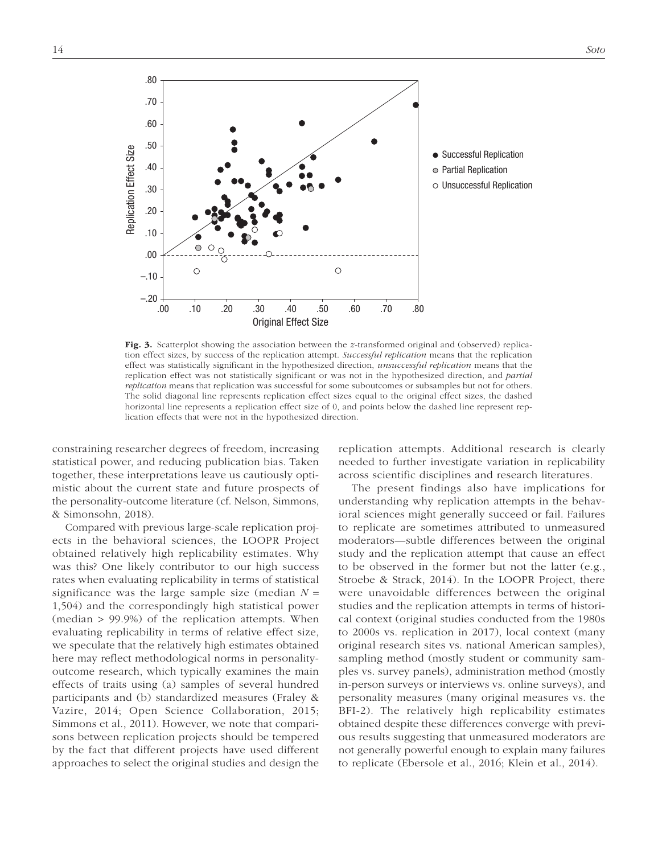

Fig. 3. Scatterplot showing the association between the *z*-transformed original and (observed) replication effect sizes, by success of the replication attempt. *Successful replication* means that the replication effect was statistically significant in the hypothesized direction, *unsuccessful replication* means that the replication effect was not statistically significant or was not in the hypothesized direction, and *partial replication* means that replication was successful for some suboutcomes or subsamples but not for others. The solid diagonal line represents replication effect sizes equal to the original effect sizes, the dashed horizontal line represents a replication effect size of 0, and points below the dashed line represent replication effects that were not in the hypothesized direction.

constraining researcher degrees of freedom, increasing statistical power, and reducing publication bias. Taken together, these interpretations leave us cautiously optimistic about the current state and future prospects of the personality-outcome literature (cf. Nelson, Simmons, & Simonsohn, 2018).

Compared with previous large-scale replication projects in the behavioral sciences, the LOOPR Project obtained relatively high replicability estimates. Why was this? One likely contributor to our high success rates when evaluating replicability in terms of statistical significance was the large sample size (median *N* = 1,504) and the correspondingly high statistical power (median > 99.9%) of the replication attempts. When evaluating replicability in terms of relative effect size, we speculate that the relatively high estimates obtained here may reflect methodological norms in personalityoutcome research, which typically examines the main effects of traits using (a) samples of several hundred participants and (b) standardized measures (Fraley & Vazire, 2014; Open Science Collaboration, 2015; Simmons et al., 2011). However, we note that comparisons between replication projects should be tempered by the fact that different projects have used different approaches to select the original studies and design the

replication attempts. Additional research is clearly needed to further investigate variation in replicability across scientific disciplines and research literatures.

The present findings also have implications for understanding why replication attempts in the behavioral sciences might generally succeed or fail. Failures to replicate are sometimes attributed to unmeasured moderators—subtle differences between the original study and the replication attempt that cause an effect to be observed in the former but not the latter (e.g., Stroebe & Strack, 2014). In the LOOPR Project, there were unavoidable differences between the original studies and the replication attempts in terms of historical context (original studies conducted from the 1980s to 2000s vs. replication in 2017), local context (many original research sites vs. national American samples), sampling method (mostly student or community samples vs. survey panels), administration method (mostly in-person surveys or interviews vs. online surveys), and personality measures (many original measures vs. the BFI-2). The relatively high replicability estimates obtained despite these differences converge with previous results suggesting that unmeasured moderators are not generally powerful enough to explain many failures to replicate (Ebersole et al., 2016; Klein et al., 2014).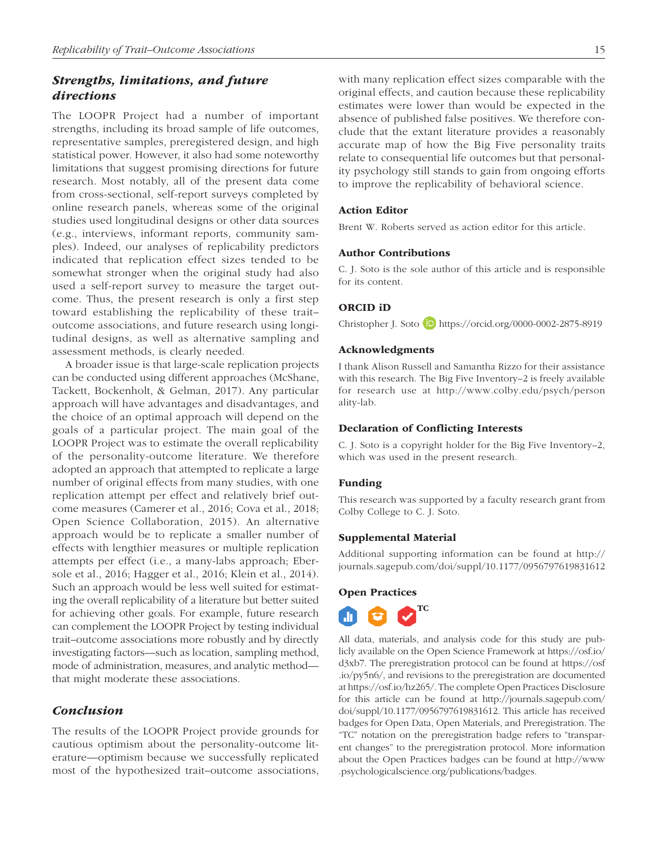## *Strengths, limitations, and future directions*

The LOOPR Project had a number of important strengths, including its broad sample of life outcomes, representative samples, preregistered design, and high statistical power. However, it also had some noteworthy limitations that suggest promising directions for future research. Most notably, all of the present data come from cross-sectional, self-report surveys completed by online research panels, whereas some of the original studies used longitudinal designs or other data sources (e.g., interviews, informant reports, community samples). Indeed, our analyses of replicability predictors indicated that replication effect sizes tended to be somewhat stronger when the original study had also used a self-report survey to measure the target outcome. Thus, the present research is only a first step toward establishing the replicability of these trait– outcome associations, and future research using longitudinal designs, as well as alternative sampling and assessment methods, is clearly needed.

A broader issue is that large-scale replication projects can be conducted using different approaches (McShane, Tackett, Bockenholt, & Gelman, 2017). Any particular approach will have advantages and disadvantages, and the choice of an optimal approach will depend on the goals of a particular project. The main goal of the LOOPR Project was to estimate the overall replicability of the personality-outcome literature. We therefore adopted an approach that attempted to replicate a large number of original effects from many studies, with one replication attempt per effect and relatively brief outcome measures (Camerer et al., 2016; Cova et al., 2018; Open Science Collaboration, 2015). An alternative approach would be to replicate a smaller number of effects with lengthier measures or multiple replication attempts per effect (i.e., a many-labs approach; Ebersole et al., 2016; Hagger et al., 2016; Klein et al., 2014). Such an approach would be less well suited for estimating the overall replicability of a literature but better suited for achieving other goals. For example, future research can complement the LOOPR Project by testing individual trait–outcome associations more robustly and by directly investigating factors—such as location, sampling method, mode of administration, measures, and analytic method that might moderate these associations.

## *Conclusion*

The results of the LOOPR Project provide grounds for cautious optimism about the personality-outcome literature—optimism because we successfully replicated most of the hypothesized trait–outcome associations, with many replication effect sizes comparable with the original effects, and caution because these replicability estimates were lower than would be expected in the absence of published false positives. We therefore conclude that the extant literature provides a reasonably accurate map of how the Big Five personality traits relate to consequential life outcomes but that personality psychology still stands to gain from ongoing efforts to improve the replicability of behavioral science.

#### Action Editor

Brent W. Roberts served as action editor for this article.

#### Author Contributions

C. J. Soto is the sole author of this article and is responsible for its content.

### ORCID iD

Christopher J. Soto **D** <https://orcid.org/0000-0002-2875-8919>

### Acknowledgments

I thank Alison Russell and Samantha Rizzo for their assistance with this research. The Big Five Inventory–2 is freely available for research use at [http://www.colby.edu/psych/person](http://www.colby.edu/psych/personality-lab) [ality-lab.](http://www.colby.edu/psych/personality-lab)

#### Declaration of Conflicting Interests

C. J. Soto is a copyright holder for the Big Five Inventory–2, which was used in the present research.

#### Funding

This research was supported by a faculty research grant from Colby College to C. J. Soto.

#### Supplemental Material

Additional supporting information can be found at [http://](http://journals.sagepub.com/doi/suppl/10.1177/0956797619831612) [journals.sagepub.com/doi/suppl/10.1177/0956797619831612](http://journals.sagepub.com/doi/suppl/10.1177/0956797619831612)

#### Open Practices



All data, materials, and analysis code for this study are publicly available on the Open Science Framework at [https://osf.io/](https://osf.io/d3xb7) [d3xb7](https://osf.io/d3xb7). The preregistration protocol can be found at [https://osf](https://osf.io/py5n6/) [.io/py5n6/](https://osf.io/py5n6/), and revisions to the preregistration are documented at<https://osf.io/hz265/>. The complete Open Practices Disclosure for this article can be found at [http://journals.sagepub.com/](http://journals.sagepub.com/doi/suppl/10.1177/0956797619831612) [doi/suppl/10.1177/0956797619831612](http://journals.sagepub.com/doi/suppl/10.1177/0956797619831612). This article has received badges for Open Data, Open Materials, and Preregistration. The "TC" notation on the preregistration badge refers to "transparent changes" to the preregistration protocol. More information about the Open Practices badges can be found at [http://www](http://www.psychologicalscience.org/publications/badges) [.psychologicalscience.org/publications/badges](http://www.psychologicalscience.org/publications/badges).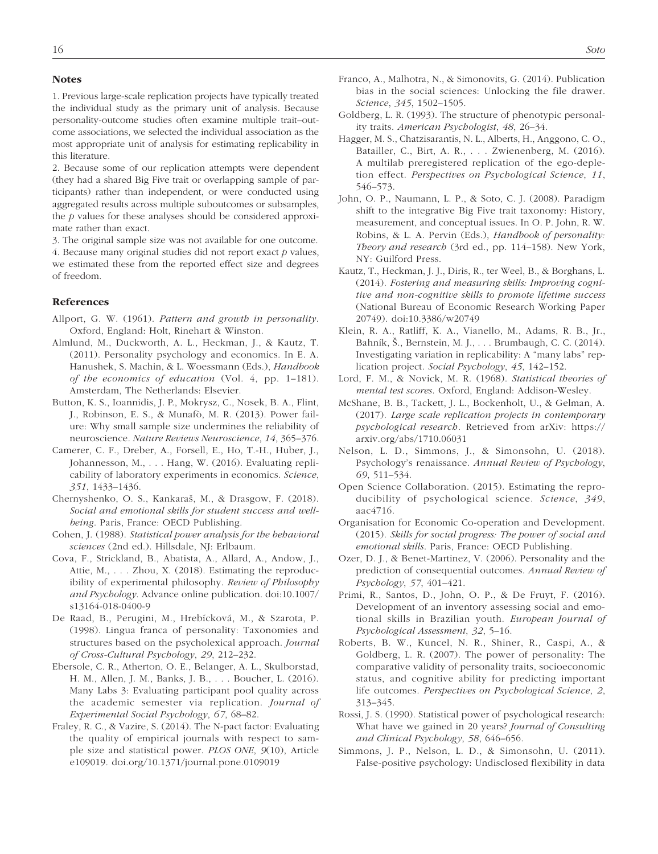1. Previous large-scale replication projects have typically treated the individual study as the primary unit of analysis. Because personality-outcome studies often examine multiple trait–outcome associations, we selected the individual association as the most appropriate unit of analysis for estimating replicability in this literature.

2. Because some of our replication attempts were dependent (they had a shared Big Five trait or overlapping sample of participants) rather than independent, or were conducted using aggregated results across multiple suboutcomes or subsamples, the *p* values for these analyses should be considered approximate rather than exact.

3. The original sample size was not available for one outcome. 4. Because many original studies did not report exact *p* values, we estimated these from the reported effect size and degrees of freedom.

#### References

- Allport, G. W. (1961). *Pattern and growth in personality*. Oxford, England: Holt, Rinehart & Winston.
- Almlund, M., Duckworth, A. L., Heckman, J., & Kautz, T. (2011). Personality psychology and economics. In E. A. Hanushek, S. Machin, & L. Woessmann (Eds.), *Handbook of the economics of education* (Vol. 4, pp. 1–181). Amsterdam, The Netherlands: Elsevier.
- Button, K. S., Ioannidis, J. P., Mokrysz, C., Nosek, B. A., Flint, J., Robinson, E. S., & Munafò, M. R. (2013). Power failure: Why small sample size undermines the reliability of neuroscience. *Nature Reviews Neuroscience*, *14*, 365–376.
- Camerer, C. F., Dreber, A., Forsell, E., Ho, T.-H., Huber, J., Johannesson, M., . . . Hang, W. (2016). Evaluating replicability of laboratory experiments in economics. *Science*, *351*, 1433–1436.
- Chernyshenko, O. S., Kankaraš, M., & Drasgow, F. (2018). *Social and emotional skills for student success and wellbeing*. Paris, France: OECD Publishing.
- Cohen, J. (1988). *Statistical power analysis for the behavioral sciences* (2nd ed.). Hillsdale, NJ: Erlbaum.
- Cova, F., Strickland, B., Abatista, A., Allard, A., Andow, J., Attie, M., . . . Zhou, X. (2018). Estimating the reproducibility of experimental philosophy. *Review of Philosophy and Psychology*. Advance online publication. doi:10.1007/ s13164-018-0400-9
- De Raad, B., Perugini, M., Hrebícková, M., & Szarota, P. (1998). Lingua franca of personality: Taxonomies and structures based on the psycholexical approach. *Journal of Cross-Cultural Psychology*, *29*, 212–232.
- Ebersole, C. R., Atherton, O. E., Belanger, A. L., Skulborstad, H. M., Allen, J. M., Banks, J. B., . . . Boucher, L. (2016). Many Labs 3: Evaluating participant pool quality across the academic semester via replication. *Journal of Experimental Social Psychology*, *67*, 68–82.
- Fraley, R. C., & Vazire, S. (2014). The N-pact factor: Evaluating the quality of empirical journals with respect to sample size and statistical power. *PLOS ONE*, *9*(10), Article e109019. doi.org/10.1371/journal.pone.0109019
- Franco, A., Malhotra, N., & Simonovits, G. (2014). Publication bias in the social sciences: Unlocking the file drawer. *Science*, *345*, 1502–1505.
- Goldberg, L. R. (1993). The structure of phenotypic personality traits. *American Psychologist*, *48*, 26–34.
- Hagger, M. S., Chatzisarantis, N. L., Alberts, H., Anggono, C. O., Batailler, C., Birt, A. R., . . . Zwienenberg, M. (2016). A multilab preregistered replication of the ego-depletion effect. *Perspectives on Psychological Science*, *11*, 546–573.
- John, O. P., Naumann, L. P., & Soto, C. J. (2008). Paradigm shift to the integrative Big Five trait taxonomy: History, measurement, and conceptual issues. In O. P. John, R. W. Robins, & L. A. Pervin (Eds.), *Handbook of personality: Theory and research* (3rd ed., pp. 114–158). New York, NY: Guilford Press.
- Kautz, T., Heckman, J. J., Diris, R., ter Weel, B., & Borghans, L. (2014). *Fostering and measuring skills: Improving cognitive and non-cognitive skills to promote lifetime success* (National Bureau of Economic Research Working Paper 20749). doi:10.3386/w20749
- Klein, R. A., Ratliff, K. A., Vianello, M., Adams, R. B., Jr., Bahník, Š., Bernstein, M. J., . . . Brumbaugh, C. C. (2014). Investigating variation in replicability: A "many labs" replication project. *Social Psychology*, *45*, 142–152.
- Lord, F. M., & Novick, M. R. (1968). *Statistical theories of mental test scores*. Oxford, England: Addison-Wesley.
- McShane, B. B., Tackett, J. L., Bockenholt, U., & Gelman, A. (2017). *Large scale replication projects in contemporary psychological research*. Retrieved from arXiv: [https://](https://arxiv.org/abs/1710.06031) [arxiv.org/abs/1710.06031](https://arxiv.org/abs/1710.06031)
- Nelson, L. D., Simmons, J., & Simonsohn, U. (2018). Psychology's renaissance. *Annual Review of Psychology*, *69*, 511–534.
- Open Science Collaboration. (2015). Estimating the reproducibility of psychological science. *Science*, *349*, aac4716.
- Organisation for Economic Co-operation and Development. (2015). *Skills for social progress: The power of social and emotional skills*. Paris, France: OECD Publishing.
- Ozer, D. J., & Benet-Martinez, V. (2006). Personality and the prediction of consequential outcomes. *Annual Review of Psychology*, *57*, 401–421.
- Primi, R., Santos, D., John, O. P., & De Fruyt, F. (2016). Development of an inventory assessing social and emotional skills in Brazilian youth. *European Journal of Psychological Assessment*, *32*, 5–16.
- Roberts, B. W., Kuncel, N. R., Shiner, R., Caspi, A., & Goldberg, L. R. (2007). The power of personality: The comparative validity of personality traits, socioeconomic status, and cognitive ability for predicting important life outcomes. *Perspectives on Psychological Science*, *2*, 313–345.
- Rossi, J. S. (1990). Statistical power of psychological research: What have we gained in 20 years? *Journal of Consulting and Clinical Psychology*, *58*, 646–656.
- Simmons, J. P., Nelson, L. D., & Simonsohn, U. (2011). False-positive psychology: Undisclosed flexibility in data